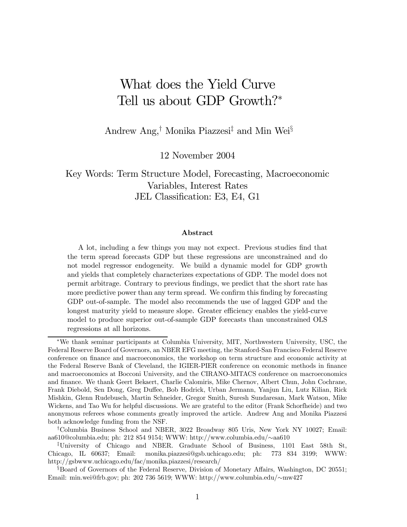# What does the Yield Curve Tell us about GDP Growth?<sup>∗</sup>

Andrew Ang,† Monika Piazzesi‡ and Min Wei§

12 November 2004

Key Words: Term Structure Model, Forecasting, Macroeconomic Variables, Interest Rates JEL Classification: E3, E4, G1

#### Abstract

A lot, including a few things you may not expect. Previous studies find that the term spread forecasts GDP but these regressions are unconstrained and do not model regressor endogeneity. We build a dynamic model for GDP growth and yields that completely characterizes expectations of GDP. The model does not permit arbitrage. Contrary to previous findings, we predict that the short rate has more predictive power than any term spread. We confirm this finding by forecasting GDP out-of-sample. The model also recommends the use of lagged GDP and the longest maturity yield to measure slope. Greater efficiency enables the yield-curve model to produce superior out-of-sample GDP forecasts than unconstrained OLS regressions at all horizons.

†Columbia Business School and NBER, 3022 Broadway 805 Uris, New York NY 10027; Email: aa610@columbia.edu; ph: 212 854 9154; WWW: http://www.columbia.edu/∼aa610

<sup>∗</sup>We thank seminar participants at Columbia University, MIT, Northwestern University, USC, the Federal Reserve Board of Governors, an NBER EFG meeting, the Stanford-San Francisco Federal Reserve conference on finance and macroeconomics, the workshop on term structure and economic activity at the Federal Reserve Bank of Cleveland, the IGIER-PIER conference on economic methods in finance and macroeconomics at Bocconi University, and the CIRANO-MITACS conference on macroeconomics and finance. We thank Geert Bekaert, Charlie Calomiris, Mike Chernov, Albert Chun, John Cochrane, Frank Diebold, Sen Dong, Greg Duffee, Bob Hodrick, Urban Jermann, Yanjun Liu, Lutz Kilian, Rick Mishkin, Glenn Rudebusch, Martin Schneider, Gregor Smith, Suresh Sundaresan, Mark Watson, Mike Wickens, and Tao Wu for helpful discussions. We are grateful to the editor (Frank Schorfheide) and two anonymous referees whose comments greatly improved the article. Andrew Ang and Monika Piazzesi both acknowledge funding from the NSF.

<sup>‡</sup>University of Chicago and NBER. Graduate School of Business, 1101 East 58th St, Chicago, IL 60637; Email: monika.piazzesi@gsb.uchicago.edu; ph: 773 834 3199; WWW: http://gsbwww.uchicago.edu/fac/monika.piazzesi/research/

<sup>§</sup>Board of Governors of the Federal Reserve, Division of Monetary Affairs, Washington, DC 20551; Email: min.wei@frb.gov; ph: 202 736 5619; WWW: http://www.columbia.edu/∼mw427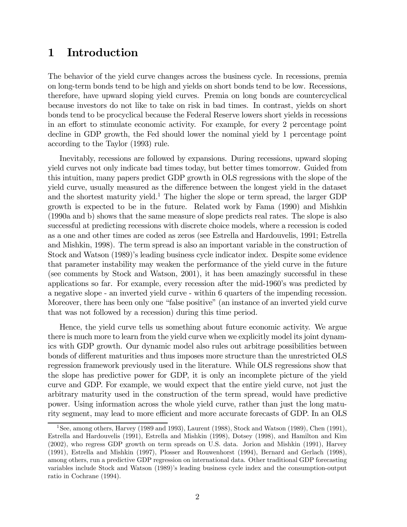## 1 Introduction

The behavior of the yield curve changes across the business cycle. In recessions, premia on long-term bonds tend to be high and yields on short bonds tend to be low. Recessions, therefore, have upward sloping yield curves. Premia on long bonds are countercyclical because investors do not like to take on risk in bad times. In contrast, yields on short bonds tend to be procyclical because the Federal Reserve lowers short yields in recessions in an effort to stimulate economic activity. For example, for every 2 percentage point decline in GDP growth, the Fed should lower the nominal yield by 1 percentage point according to the Taylor (1993) rule.

Inevitably, recessions are followed by expansions. During recessions, upward sloping yield curves not only indicate bad times today, but better times tomorrow. Guided from this intuition, many papers predict GDP growth in OLS regressions with the slope of the yield curve, usually measured as the difference between the longest yield in the dataset and the shortest maturity yield.<sup>1</sup> The higher the slope or term spread, the larger GDP growth is expected to be in the future. Related work by Fama (1990) and Mishkin (1990a and b) shows that the same measure of slope predicts real rates. The slope is also successful at predicting recessions with discrete choice models, where a recession is coded as a one and other times are coded as zeros (see Estrella and Hardouvelis, 1991; Estrella and Mishkin, 1998). The term spread is also an important variable in the construction of Stock and Watson (1989)'s leading business cycle indicator index. Despite some evidence that parameter instability may weaken the performance of the yield curve in the future (see comments by Stock and Watson, 2001), it has been amazingly successful in these applications so far. For example, every recession after the mid-1960's was predicted by a negative slope - an inverted yield curve - within 6 quarters of the impending recession. Moreover, there has been only one "false positive" (an instance of an inverted yield curve that was not followed by a recession) during this time period.

Hence, the yield curve tells us something about future economic activity. We argue there is much more to learn from the yield curve when we explicitly model its joint dynamics with GDP growth. Our dynamic model also rules out arbitrage possibilities between bonds of different maturities and thus imposes more structure than the unrestricted OLS regression framework previously used in the literature. While OLS regressions show that the slope has predictive power for GDP, it is only an incomplete picture of the yield curve and GDP. For example, we would expect that the entire yield curve, not just the arbitrary maturity used in the construction of the term spread, would have predictive power. Using information across the whole yield curve, rather than just the long maturity segment, may lead to more efficient and more accurate forecasts of GDP. In an OLS

<sup>&</sup>lt;sup>1</sup>See, among others, Harvey (1989 and 1993), Laurent (1988), Stock and Watson (1989), Chen (1991), Estrella and Hardouvelis (1991), Estrella and Mishkin (1998), Dotsey (1998), and Hamilton and Kim (2002), who regress GDP growth on term spreads on U.S. data. Jorion and Mishkin (1991), Harvey (1991), Estrella and Mishkin (1997), Plosser and Rouwenhorst (1994), Bernard and Gerlach (1998), among others, run a predictive GDP regression on international data. Other traditional GDP forecasting variables include Stock and Watson (1989)'s leading business cycle index and the consumption-output ratio in Cochrane (1994).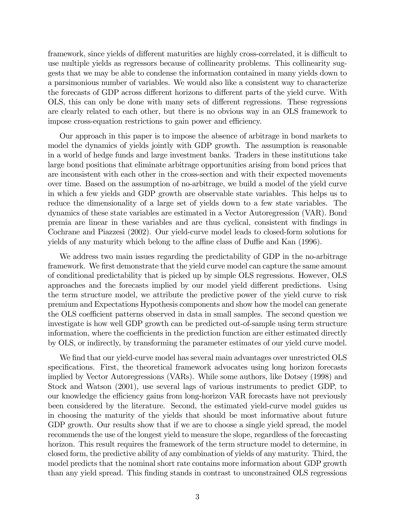framework, since yields of different maturities are highly cross-correlated, it is difficult to use multiple yields as regressors because of collinearity problems. This collinearity suggests that we may be able to condense the information contained in many yields down to a parsimonious number of variables. We would also like a consistent way to characterize the forecasts of GDP across different horizons to different parts of the yield curve. With OLS, this can only be done with many sets of different regressions. These regressions are clearly related to each other, but there is no obvious way in an OLS framework to impose cross-equation restrictions to gain power and efficiency.

Our approach in this paper is to impose the absence of arbitrage in bond markets to model the dynamics of yields jointly with GDP growth. The assumption is reasonable in a world of hedge funds and large investment banks. Traders in these institutions take large bond positions that eliminate arbitrage opportunities arising from bond prices that are inconsistent with each other in the cross-section and with their expected movements over time. Based on the assumption of no-arbitrage, we build a model of the yield curve in which a few yields and GDP growth are observable state variables. This helps us to reduce the dimensionality of a large set of yields down to a few state variables. The dynamics of these state variables are estimated in a Vector Autoregression (VAR). Bond premia are linear in these variables and are thus cyclical, consistent with findings in Cochrane and Piazzesi (2002). Our yield-curve model leads to closed-form solutions for yields of any maturity which belong to the affine class of Duffie and Kan (1996).

We address two main issues regarding the predictability of GDP in the no-arbitrage framework. We first demonstrate that the yield curve model can capture the same amount of conditional predictability that is picked up by simple OLS regressions. However, OLS approaches and the forecasts implied by our model yield different predictions. Using the term structure model, we attribute the predictive power of the yield curve to risk premium and Expectations Hypothesis components and show how the model can generate the OLS coefficient patterns observed in data in small samples. The second question we investigate is how well GDP growth can be predicted out-of-sample using term structure information, where the coefficients in the prediction function are either estimated directly by OLS, or indirectly, by transforming the parameter estimates of our yield curve model.

We find that our yield-curve model has several main advantages over unrestricted OLS specifications. First, the theoretical framework advocates using long horizon forecasts implied by Vector Autoregressions (VARs). While some authors, like Dotsey (1998) and Stock and Watson (2001), use several lags of various instruments to predict GDP, to our knowledge the efficiency gains from long-horizon VAR forecasts have not previously been considered by the literature. Second, the estimated yield-curve model guides us in choosing the maturity of the yields that should be most informative about future GDP growth. Our results show that if we are to choose a single yield spread, the model recommends the use of the longest yield to measure the slope, regardless of the forecasting horizon. This result requires the framework of the term structure model to determine, in closed form, the predictive ability of any combination of yields of any maturity. Third, the model predicts that the nominal short rate contains more information about GDP growth than any yield spread. This finding stands in contrast to unconstrained OLS regressions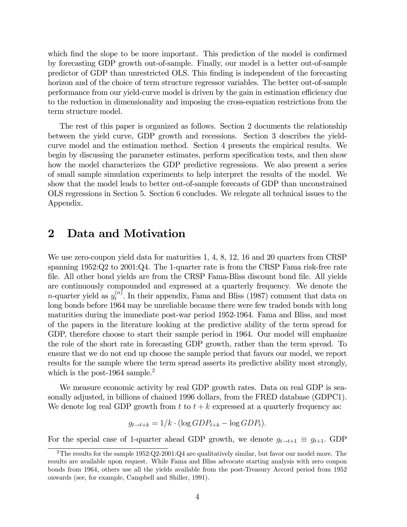which find the slope to be more important. This prediction of the model is confirmed by forecasting GDP growth out-of-sample. Finally, our model is a better out-of-sample predictor of GDP than unrestricted OLS. This finding is independent of the forecasting horizon and of the choice of term structure regressor variables. The better out-of-sample performance from our yield-curve model is driven by the gain in estimation efficiency due to the reduction in dimensionality and imposing the cross-equation restrictions from the term structure model.

The rest of this paper is organized as follows. Section 2 documents the relationship between the yield curve, GDP growth and recessions. Section 3 describes the yieldcurve model and the estimation method. Section 4 presents the empirical results. We begin by discussing the parameter estimates, perform specification tests, and then show how the model characterizes the GDP predictive regressions. We also present a series of small sample simulation experiments to help interpret the results of the model. We show that the model leads to better out-of-sample forecasts of GDP than unconstrained OLS regressions in Section 5. Section 6 concludes. We relegate all technical issues to the Appendix.

## 2 Data and Motivation

We use zero-coupon yield data for maturities 1, 4, 8, 12, 16 and 20 quarters from CRSP spanning 1952:Q2 to 2001:Q4. The 1-quarter rate is from the CRSP Fama risk-free rate file. All other bond yields are from the CRSP Fama-Bliss discount bond file. All yields are continuously compounded and expressed at a quarterly frequency. We denote the *n*-quarter yield as  $y_t^{(n)}$ . In their appendix, Fama and Bliss (1987) comment that data on long bonds before 1964 may be unreliable because there were few traded bonds with long maturities during the immediate post-war period 1952-1964. Fama and Bliss, and most of the papers in the literature looking at the predictive ability of the term spread for GDP, therefore choose to start their sample period in 1964. Our model will emphasize the role of the short rate in forecasting GDP growth, rather than the term spread. To ensure that we do not end up choose the sample period that favors our model, we report results for the sample where the term spread asserts its predictive ability most strongly, which is the post-1964 sample.<sup>2</sup>

We measure economic activity by real GDP growth rates. Data on real GDP is seasonally adjusted, in billions of chained 1996 dollars, from the FRED database (GDPC1). We denote log real GDP growth from t to  $t + k$  expressed at a quarterly frequency as:

$$
g_{t\rightarrow t+k} = 1/k \cdot (\log GDP_{t+k} - \log GDP_t).
$$

For the special case of 1-quarter ahead GDP growth, we denote  $g_{t\rightarrow t+1} \equiv g_{t+1}$ . GDP

<sup>&</sup>lt;sup>2</sup>The results for the sample  $1952:Q2-2001:Q4$  are qualitatively similar, but favor our model more. The results are available upon request. While Fama and Bliss advocate starting analysis with zero coupon bonds from 1964, others use all the yields available from the post-Treasury Accord period from 1952 onwards (see, for example, Campbell and Shiller, 1991).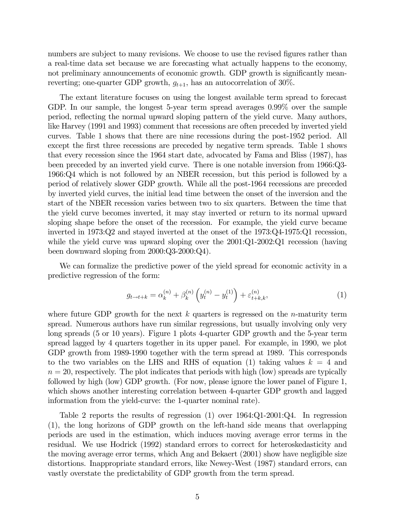numbers are subject to many revisions. We choose to use the revised figures rather than a real-time data set because we are forecasting what actually happens to the economy, not preliminary announcements of economic growth. GDP growth is significantly meanreverting; one-quarter GDP growth,  $g_{t+1}$ , has an autocorrelation of 30%.

The extant literature focuses on using the longest available term spread to forecast GDP. In our sample, the longest 5-year term spread averages 0.99% over the sample period, reflecting the normal upward sloping pattern of the yield curve. Many authors, like Harvey (1991 and 1993) comment that recessions are often preceded by inverted yield curves. Table 1 shows that there are nine recessions during the post-1952 period. All except the first three recessions are preceded by negative term spreads. Table 1 shows that every recession since the 1964 start date, advocated by Fama and Bliss (1987), has been preceded by an inverted yield curve. There is one notable inversion from 1966:Q3- 1966:Q4 which is not followed by an NBER recession, but this period is followed by a period of relatively slower GDP growth. While all the post-1964 recessions are preceded by inverted yield curves, the initial lead time between the onset of the inversion and the start of the NBER recession varies between two to six quarters. Between the time that the yield curve becomes inverted, it may stay inverted or return to its normal upward sloping shape before the onset of the recession. For example, the yield curve became inverted in 1973:Q2 and stayed inverted at the onset of the 1973:Q4-1975:Q1 recession, while the yield curve was upward sloping over the  $2001:Q1-2002:Q1$  recession (having been downward sloping from 2000:Q3-2000:Q4).

We can formalize the predictive power of the yield spread for economic activity in a predictive regression of the form:

$$
g_{t \to t+k} = \alpha_k^{(n)} + \beta_k^{(n)} \left( y_t^{(n)} - y_t^{(1)} \right) + \varepsilon_{t+k,k}^{(n)}, \tag{1}
$$

where future GDP growth for the next  $k$  quarters is regressed on the *n*-maturity term spread. Numerous authors have run similar regressions, but usually involving only very long spreads (5 or 10 years). Figure 1 plots 4-quarter GDP growth and the 5-year term spread lagged by 4 quarters together in its upper panel. For example, in 1990, we plot GDP growth from 1989-1990 together with the term spread at 1989. This corresponds to the two variables on the LHS and RHS of equation (1) taking values  $k = 4$  and  $n = 20$ , respectively. The plot indicates that periods with high (low) spreads are typically followed by high (low) GDP growth. (For now, please ignore the lower panel of Figure 1, which shows another interesting correlation between 4-quarter GDP growth and lagged information from the yield-curve: the 1-quarter nominal rate).

Table 2 reports the results of regression (1) over 1964:Q1-2001:Q4. In regression (1), the long horizons of GDP growth on the left-hand side means that overlapping periods are used in the estimation, which induces moving average error terms in the residual. We use Hodrick (1992) standard errors to correct for heteroskedasticity and the moving average error terms, which Ang and Bekaert (2001) show have negligible size distortions. Inappropriate standard errors, like Newey-West (1987) standard errors, can vastly overstate the predictability of GDP growth from the term spread.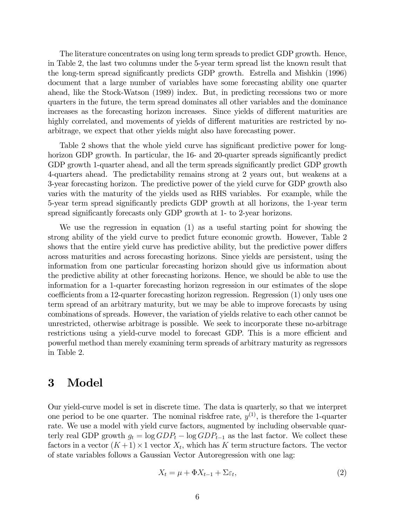The literature concentrates on using long term spreads to predict GDP growth. Hence, in Table 2, the last two columns under the 5-year term spread list the known result that the long-term spread significantly predicts GDP growth. Estrella and Mishkin (1996) document that a large number of variables have some forecasting ability one quarter ahead, like the Stock-Watson (1989) index. But, in predicting recessions two or more quarters in the future, the term spread dominates all other variables and the dominance increases as the forecasting horizon increases. Since yields of different maturities are highly correlated, and movements of yields of different maturities are restricted by noarbitrage, we expect that other yields might also have forecasting power.

Table 2 shows that the whole yield curve has significant predictive power for longhorizon GDP growth. In particular, the 16- and 20-quarter spreads significantly predict GDP growth 1-quarter ahead, and all the term spreads significantly predict GDP growth 4-quarters ahead. The predictability remains strong at 2 years out, but weakens at a 3-year forecasting horizon. The predictive power of the yield curve for GDP growth also varies with the maturity of the yields used as RHS variables. For example, while the 5-year term spread significantly predicts GDP growth at all horizons, the 1-year term spread significantly forecasts only GDP growth at 1- to 2-year horizons.

We use the regression in equation (1) as a useful starting point for showing the strong ability of the yield curve to predict future economic growth. However, Table 2 shows that the entire yield curve has predictive ability, but the predictive power differs across maturities and across forecasting horizons. Since yields are persistent, using the information from one particular forecasting horizon should give us information about the predictive ability at other forecasting horizons. Hence, we should be able to use the information for a 1-quarter forecasting horizon regression in our estimates of the slope coefficients from a 12-quarter forecasting horizon regression. Regression (1) only uses one term spread of an arbitrary maturity, but we may be able to improve forecasts by using combinations of spreads. However, the variation of yields relative to each other cannot be unrestricted, otherwise arbitrage is possible. We seek to incorporate these no-arbitrage restrictions using a yield-curve model to forecast GDP. This is a more efficient and powerful method than merely examining term spreads of arbitrary maturity as regressors in Table 2.

## 3 Model

Our yield-curve model is set in discrete time. The data is quarterly, so that we interpret one period to be one quarter. The nominal riskfree rate,  $y^{(1)}$ , is therefore the 1-quarter rate. We use a model with yield curve factors, augmented by including observable quarterly real GDP growth  $g_t = \log GDP_t - \log GDP_{t-1}$  as the last factor. We collect these factors in a vector  $(K+1) \times 1$  vector  $X_t$ , which has K term structure factors. The vector of state variables follows a Gaussian Vector Autoregression with one lag:

$$
X_t = \mu + \Phi X_{t-1} + \Sigma \varepsilon_t,\tag{2}
$$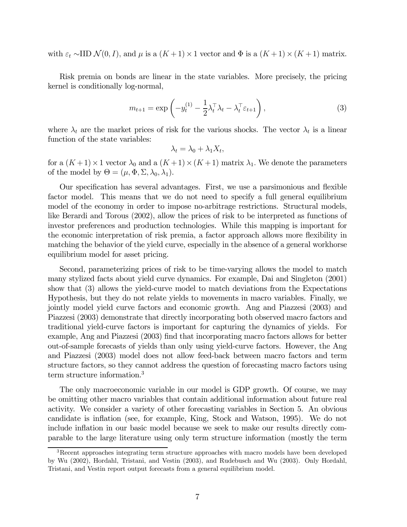with  $\varepsilon_t \sim$ IID  $\mathcal{N}(0, I)$ , and  $\mu$  is a  $(K+1) \times 1$  vector and  $\Phi$  is a  $(K+1) \times (K+1)$  matrix.

Risk premia on bonds are linear in the state variables. More precisely, the pricing kernel is conditionally log-normal,

$$
m_{t+1} = \exp\left(-y_t^{(1)} - \frac{1}{2}\lambda_t^{\top}\lambda_t - \lambda_t^{\top}\varepsilon_{t+1}\right),\tag{3}
$$

where  $\lambda_t$  are the market prices of risk for the various shocks. The vector  $\lambda_t$  is a linear function of the state variables:

$$
\lambda_t = \lambda_0 + \lambda_1 X_t,
$$

for a  $(K+1) \times 1$  vector  $\lambda_0$  and a  $(K+1) \times (K+1)$  matrix  $\lambda_1$ . We denote the parameters of the model by  $\Theta = (\mu, \Phi, \Sigma, \lambda_0, \lambda_1).$ 

Our specification has several advantages. First, we use a parsimonious and flexible factor model. This means that we do not need to specify a full general equilibrium model of the economy in order to impose no-arbitrage restrictions. Structural models, like Berardi and Torous (2002), allow the prices of risk to be interpreted as functions of investor preferences and production technologies. While this mapping is important for the economic interpretation of risk premia, a factor approach allows more flexibility in matching the behavior of the yield curve, especially in the absence of a general workhorse equilibrium model for asset pricing.

Second, parameterizing prices of risk to be time-varying allows the model to match many stylized facts about yield curve dynamics. For example, Dai and Singleton (2001) show that (3) allows the yield-curve model to match deviations from the Expectations Hypothesis, but they do not relate yields to movements in macro variables. Finally, we jointly model yield curve factors and economic growth. Ang and Piazzesi (2003) and Piazzesi (2003) demonstrate that directly incorporating both observed macro factors and traditional yield-curve factors is important for capturing the dynamics of yields. For example, Ang and Piazzesi (2003) find that incorporating macro factors allows for better out-of-sample forecasts of yields than only using yield-curve factors. However, the Ang and Piazzesi (2003) model does not allow feed-back between macro factors and term structure factors, so they cannot address the question of forecasting macro factors using term structure information.3

The only macroeconomic variable in our model is GDP growth. Of course, we may be omitting other macro variables that contain additional information about future real activity. We consider a variety of other forecasting variables in Section 5. An obvious candidate is inflation (see, for example, King, Stock and Watson, 1995). We do not include inflation in our basic model because we seek to make our results directly comparable to the large literature using only term structure information (mostly the term

<sup>3</sup>Recent approaches integrating term structure approaches with macro models have been developed by Wu (2002), Hordahl, Tristani, and Vestin (2003), and Rudebusch and Wu (2003). Only Hordahl, Tristani, and Vestin report output forecasts from a general equilibrium model.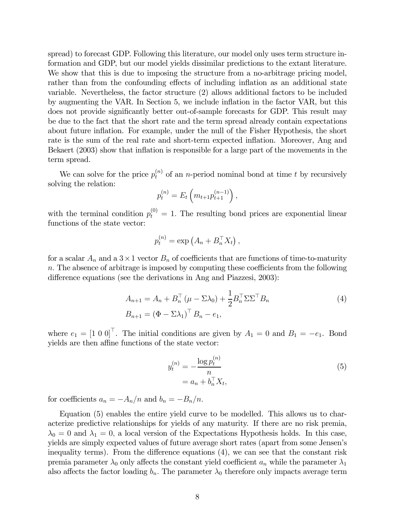spread) to forecast GDP. Following this literature, our model only uses term structure information and GDP, but our model yields dissimilar predictions to the extant literature. We show that this is due to imposing the structure from a no-arbitrage pricing model, rather than from the confounding effects of including inflation as an additional state variable. Nevertheless, the factor structure (2) allows additional factors to be included by augmenting the VAR. In Section 5, we include inflation in the factor VAR, but this does not provide significantly better out-of-sample forecasts for GDP. This result may be due to the fact that the short rate and the term spread already contain expectations about future inflation. For example, under the null of the Fisher Hypothesis, the short rate is the sum of the real rate and short-term expected inflation. Moreover, Ang and Bekaert (2003) show that inflation is responsible for a large part of the movements in the term spread.

We can solve for the price  $p_t^{(n)}$  of an *n*-period nominal bond at time t by recursively solving the relation:

$$
p_t^{(n)} = E_t \left( m_{t+1} p_{t+1}^{(n-1)} \right),
$$

with the terminal condition  $p_t^{(0)} = 1$ . The resulting bond prices are exponential linear functions of the state vector:

$$
p_t^{(n)} = \exp\left(A_n + B_n^\top X_t\right),
$$

for a scalar  $A_n$  and a  $3 \times 1$  vector  $B_n$  of coefficients that are functions of time-to-maturity n. The absence of arbitrage is imposed by computing these coefficients from the following difference equations (see the derivations in Ang and Piazzesi, 2003):

$$
A_{n+1} = A_n + B_n^\top (\mu - \Sigma \lambda_0) + \frac{1}{2} B_n^\top \Sigma \Sigma^\top B_n
$$
  
\n
$$
B_{n+1} = (\Phi - \Sigma \lambda_1)^\top B_n - e_1,
$$
\n(4)

where  $e_1 = [1 \ 0 \ 0]^\top$ . The initial conditions are given by  $A_1 = 0$  and  $B_1 = -e_1$ . Bond yields are then affine functions of the state vector:

$$
y_t^{(n)} = -\frac{\log p_t^{(n)}}{n}
$$
  
=  $a_n + b_n^{\top} X_t$ , (5)

for coefficients  $a_n = -A_n/n$  and  $b_n = -B_n/n$ .

Equation (5) enables the entire yield curve to be modelled. This allows us to characterize predictive relationships for yields of any maturity. If there are no risk premia,  $\lambda_0 = 0$  and  $\lambda_1 = 0$ , a local version of the Expectations Hypothesis holds. In this case, yields are simply expected values of future average short rates (apart from some Jensen's inequality terms). From the difference equations (4), we can see that the constant risk premia parameter  $\lambda_0$  only affects the constant yield coefficient  $a_n$  while the parameter  $\lambda_1$ also affects the factor loading  $b_n$ . The parameter  $\lambda_0$  therefore only impacts average term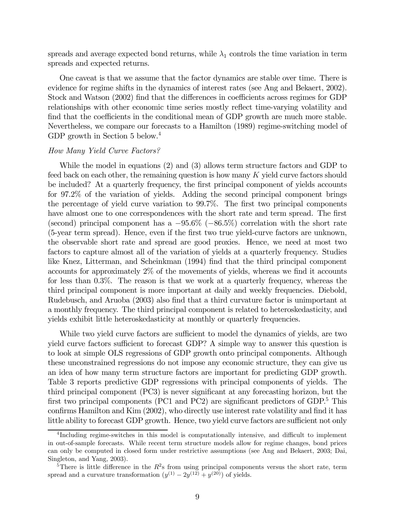spreads and average expected bond returns, while  $\lambda_1$  controls the time variation in term spreads and expected returns.

One caveat is that we assume that the factor dynamics are stable over time. There is evidence for regime shifts in the dynamics of interest rates (see Ang and Bekaert, 2002). Stock and Watson (2002) find that the differences in coefficients across regimes for GDP relationships with other economic time series mostly reflect time-varying volatility and find that the coefficients in the conditional mean of GDP growth are much more stable. Nevertheless, we compare our forecasts to a Hamilton (1989) regime-switching model of GDP growth in Section 5 below.<sup>4</sup>

#### How Many Yield Curve Factors?

While the model in equations (2) and (3) allows term structure factors and GDP to feed back on each other, the remaining question is how many K yield curve factors should be included? At a quarterly frequency, the first principal component of yields accounts for 97.2% of the variation of yields. Adding the second principal component brings the percentage of yield curve variation to 99.7%. The first two principal components have almost one to one correspondences with the short rate and term spread. The first (second) principal component has a  $-95.6\%$  ( $-86.5\%$ ) correlation with the short rate (5-year term spread). Hence, even if the first two true yield-curve factors are unknown, the observable short rate and spread are good proxies. Hence, we need at most two factors to capture almost all of the variation of yields at a quarterly frequency. Studies like Knez, Litterman, and Scheinkman (1994) find that the third principal component accounts for approximately 2% of the movements of yields, whereas we find it accounts for less than 0.3%. The reason is that we work at a quarterly frequency, whereas the third principal component is more important at daily and weekly frequencies. Diebold, Rudebusch, and Aruoba (2003) also find that a third curvature factor is unimportant at a monthly frequency. The third principal component is related to heteroskedasticity, and yields exhibit little heteroskedasticity at monthly or quarterly frequencies.

While two yield curve factors are sufficient to model the dynamics of yields, are two yield curve factors sufficient to forecast GDP? A simple way to answer this question is to look at simple OLS regressions of GDP growth onto principal components. Although these unconstrained regressions do not impose any economic structure, they can give us an idea of how many term structure factors are important for predicting GDP growth. Table 3 reports predictive GDP regressions with principal components of yields. The third principal component (PC3) is never significant at any forecasting horizon, but the first two principal components (PC1 and PC2) are significant predictors of GDP.<sup>5</sup> This confirms Hamilton and Kim (2002), who directly use interest rate volatility and find it has little ability to forecast GDP growth. Hence, two yield curve factors are sufficient not only

<sup>4</sup> Including regime-switches in this model is computationally intensive, and difficult to implement in out-of-sample forecasts. While recent term structure models allow for regime changes, bond prices can only be computed in closed form under restrictive assumptions (see Ang and Bekaert, 2003; Dai, Singleton, and Yang, 2003).

<sup>&</sup>lt;sup>5</sup>There is little difference in the  $R^2$ s from using principal components versus the short rate, term spread and a curvature transformation  $(y^{(1)} - 2y^{(12)} + y^{(20)})$  of yields.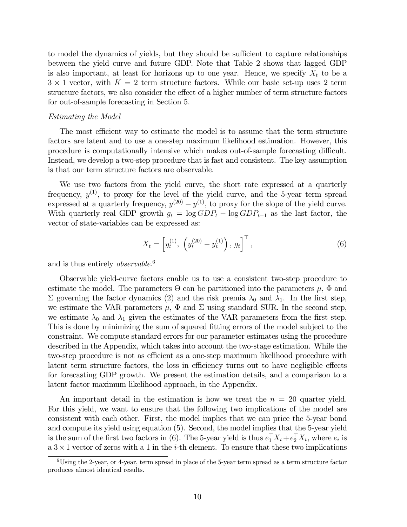to model the dynamics of yields, but they should be sufficient to capture relationships between the yield curve and future GDP. Note that Table 2 shows that lagged GDP is also important, at least for horizons up to one year. Hence, we specify  $X_t$  to be a  $3 \times 1$  vector, with  $K = 2$  term structure factors. While our basic set-up uses 2 term structure factors, we also consider the effect of a higher number of term structure factors for out-of-sample forecasting in Section 5.

#### Estimating the Model

The most efficient way to estimate the model is to assume that the term structure factors are latent and to use a one-step maximum likelihood estimation. However, this procedure is computationally intensive which makes out-of-sample forecasting difficult. Instead, we develop a two-step procedure that is fast and consistent. The key assumption is that our term structure factors are observable.

We use two factors from the yield curve, the short rate expressed at a quarterly frequency,  $y^{(1)}$ , to proxy for the level of the yield curve, and the 5-year term spread expressed at a quarterly frequency,  $y^{(20)} - y^{(1)}$ , to proxy for the slope of the yield curve. With quarterly real GDP growth  $g_t = \log GDP_t - \log GDP_{t-1}$  as the last factor, the vector of state-variables can be expressed as:

$$
X_t = \left[ y_t^{(1)}, \left( y_t^{(20)} - y_t^{(1)} \right), g_t \right]^\top,\tag{6}
$$

and is thus entirely *observable*.<sup>6</sup>

Observable yield-curve factors enable us to use a consistent two-step procedure to estimate the model. The parameters  $\Theta$  can be partitioned into the parameters  $\mu$ ,  $\Phi$  and  $\Sigma$  governing the factor dynamics (2) and the risk premia  $\lambda_0$  and  $\lambda_1$ . In the first step, we estimate the VAR parameters  $\mu$ ,  $\Phi$  and  $\Sigma$  using standard SUR. In the second step, we estimate  $\lambda_0$  and  $\lambda_1$  given the estimates of the VAR parameters from the first step. This is done by minimizing the sum of squared fitting errors of the model subject to the constraint. We compute standard errors for our parameter estimates using the procedure described in the Appendix, which takes into account the two-stage estimation. While the two-step procedure is not as efficient as a one-step maximum likelihood procedure with latent term structure factors, the loss in efficiency turns out to have negligible effects for forecasting GDP growth. We present the estimation details, and a comparison to a latent factor maximum likelihood approach, in the Appendix.

An important detail in the estimation is how we treat the  $n = 20$  quarter yield. For this yield, we want to ensure that the following two implications of the model are consistent with each other. First, the model implies that we can price the 5-year bond and compute its yield using equation (5). Second, the model implies that the 5-year yield is the sum of the first two factors in (6). The 5-year yield is thus  $e_1^{\top} X_t + e_2^{\top} X_t$ , where  $e_i$  is  $a \cdot 3 \times 1$  vector of zeros with a 1 in the *i*-th element. To ensure that these two implications

 $6\,\mathrm{Using}$  the 2-year, or 4-year, term spread in place of the 5-year term spread as a term structure factor produces almost identical results.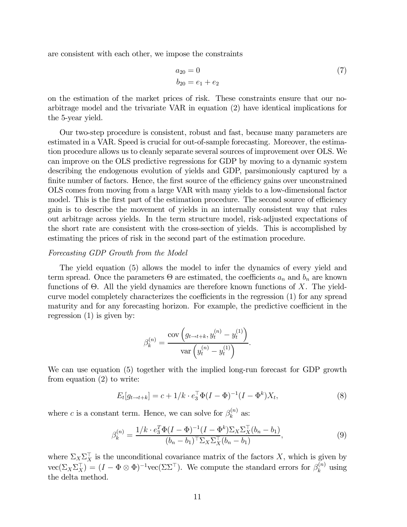are consistent with each other, we impose the constraints

$$
a_{20} = 0
$$
  
\n
$$
b_{20} = e_1 + e_2
$$
\n(7)

on the estimation of the market prices of risk. These constraints ensure that our noarbitrage model and the trivariate VAR in equation (2) have identical implications for the 5-year yield.

Our two-step procedure is consistent, robust and fast, because many parameters are estimated in a VAR. Speed is crucial for out-of-sample forecasting. Moreover, the estimation procedure allows us to cleanly separate several sources of improvement over OLS. We can improve on the OLS predictive regressions for GDP by moving to a dynamic system describing the endogenous evolution of yields and GDP, parsimoniously captured by a finite number of factors. Hence, the first source of the efficiency gains over unconstrained OLS comes from moving from a large VAR with many yields to a low-dimensional factor model. This is the first part of the estimation procedure. The second source of efficiency gain is to describe the movement of yields in an internally consistent way that rules out arbitrage across yields. In the term structure model, risk-adjusted expectations of the short rate are consistent with the cross-section of yields. This is accomplished by estimating the prices of risk in the second part of the estimation procedure.

#### Forecasting GDP Growth from the Model

The yield equation (5) allows the model to infer the dynamics of every yield and term spread. Once the parameters  $\Theta$  are estimated, the coefficients  $a_n$  and  $b_n$  are known functions of  $\Theta$ . All the yield dynamics are therefore known functions of X. The yieldcurve model completely characterizes the coefficients in the regression (1) for any spread maturity and for any forecasting horizon. For example, the predictive coefficient in the regression (1) is given by:

$$
\beta_k^{(n)} = \frac{\text{cov}\left(g_{t \to t+k}, y_t^{(n)} - y_t^{(1)}\right)}{\text{var}\left(y_t^{(n)} - y_t^{(1)}\right)}.
$$

We can use equation (5) together with the implied long-run forecast for GDP growth from equation (2) to write:

$$
E_t[g_{t\to t+k}] = c + 1/k \cdot e_3^{\top} \Phi(I - \Phi)^{-1} (I - \Phi^k) X_t,
$$
\n(8)

where c is a constant term. Hence, we can solve for  $\beta_k^{(n)}$  as:

$$
\beta_k^{(n)} = \frac{1/k \cdot e_3^T \Phi (I - \Phi)^{-1} (I - \Phi^k) \Sigma_X \Sigma_X^{\top} (b_n - b_1)}{(b_n - b_1)^{\top} \Sigma_X \Sigma_X^{\top} (b_n - b_1)},
$$
\n(9)

where  $\Sigma_X \Sigma_X^{\perp}$  is the unconditional covariance matrix of the factors X, which is given by  $vec(\Sigma_X \Sigma_X^{\top}) = (I - \Phi \otimes \Phi)^{-1} \text{vec}(\Sigma \Sigma^{\top}).$  We compute the standard errors for  $\beta_k^{(n)}$  using the delta method.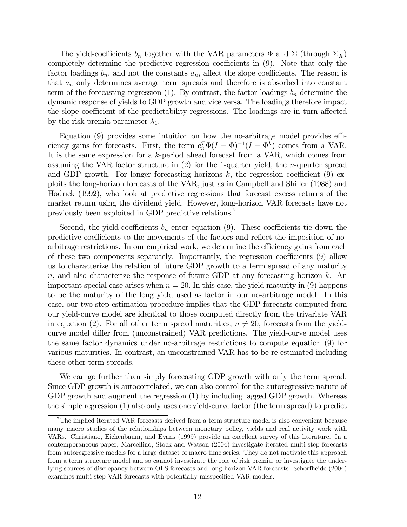The yield-coefficients  $b_n$  together with the VAR parameters  $\Phi$  and  $\Sigma$  (through  $\Sigma_X$ ) completely determine the predictive regression coefficients in (9). Note that only the factor loadings  $b_n$ , and not the constants  $a_n$ , affect the slope coefficients. The reason is that  $a_n$  only determines average term spreads and therefore is absorbed into constant term of the forecasting regression (1). By contrast, the factor loadings  $b_n$  determine the dynamic response of yields to GDP growth and vice versa. The loadings therefore impact the slope coefficient of the predictability regressions. The loadings are in turn affected by the risk premia parameter  $\lambda_1$ .

Equation (9) provides some intuition on how the no-arbitrage model provides efficiency gains for forecasts. First, the term  $e_3^T \Phi (I - \Phi)^{-1} (I - \Phi^k)$  comes from a VAR. It is the same expression for a k-period ahead forecast from a VAR, which comes from assuming the VAR factor structure in (2) for the 1-quarter yield, the n-quarter spread and GDP growth. For longer forecasting horizons  $k$ , the regression coefficient (9) exploits the long-horizon forecasts of the VAR, just as in Campbell and Shiller (1988) and Hodrick (1992), who look at predictive regressions that forecast excess returns of the market return using the dividend yield. However, long-horizon VAR forecasts have not previously been exploited in GDP predictive relations.7

Second, the yield-coefficients  $b_n$  enter equation (9). These coefficients tie down the predictive coefficients to the movements of the factors and reflect the imposition of noarbitrage restrictions. In our empirical work, we determine the efficiency gains from each of these two components separately. Importantly, the regression coefficients (9) allow us to characterize the relation of future GDP growth to a term spread of any maturity n, and also characterize the response of future GDP at any forecasting horizon  $k$ . An important special case arises when  $n = 20$ . In this case, the yield maturity in (9) happens to be the maturity of the long yield used as factor in our no-arbitrage model. In this case, our two-step estimation procedure implies that the GDP forecasts computed from our yield-curve model are identical to those computed directly from the trivariate VAR in equation (2). For all other term spread maturities,  $n \neq 20$ , forecasts from the yieldcurve model differ from (unconstrained) VAR predictions. The yield-curve model uses the same factor dynamics under no-arbitrage restrictions to compute equation (9) for various maturities. In contrast, an unconstrained VAR has to be re-estimated including these other term spreads.

We can go further than simply forecasting GDP growth with only the term spread. Since GDP growth is autocorrelated, we can also control for the autoregressive nature of GDP growth and augment the regression (1) by including lagged GDP growth. Whereas the simple regression (1) also only uses one yield-curve factor (the term spread) to predict

<sup>7</sup>The implied iterated VAR forecasts derived from a term structure model is also convenient because many macro studies of the relationships between monetary policy, yields and real activity work with VARs. Christiano, Eichenbaum, and Evans (1999) provide an excellent survey of this literature. In a contemporaneous paper, Marcellino, Stock and Watson (2004) investigate iterated multi-step forecasts from autoregressive models for a large dataset of macro time series. They do not motivate this approach from a term structure model and so cannot investigate the role of risk premia, or investigate the underlying sources of discrepancy between OLS forecasts and long-horizon VAR forecasts. Schorfheide (2004) examines multi-step VAR forecasts with potentially misspecified VAR models.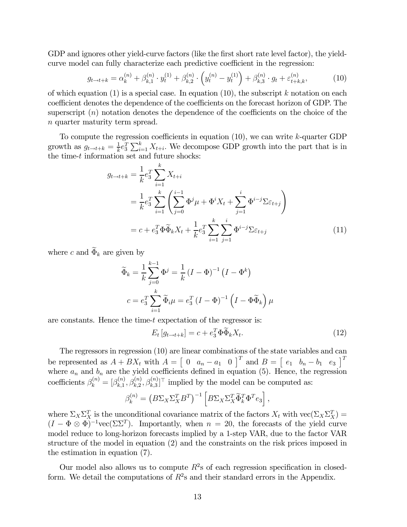GDP and ignores other yield-curve factors (like the first short rate level factor), the yieldcurve model can fully characterize each predictive coefficient in the regression:

$$
g_{t \to t+k} = \alpha_k^{(n)} + \beta_{k,1}^{(n)} \cdot y_t^{(1)} + \beta_{k,2}^{(n)} \cdot \left( y_t^{(n)} - y_t^{(1)} \right) + \beta_{k,3}^{(n)} \cdot g_t + \varepsilon_{t+k,k}^{(n)}, \tag{10}
$$

of which equation (1) is a special case. In equation (10), the subscript k notation on each coefficient denotes the dependence of the coefficients on the forecast horizon of GDP. The superscript  $(n)$  notation denotes the dependence of the coefficients on the choice of the n quarter maturity term spread.

To compute the regression coefficients in equation (10), we can write k-quarter GDP growth as  $g_{t\to t+k} = \frac{1}{k} e_3^T \sum_{i=1}^k X_{t+i}$ . We decompose GDP growth into the part that is in the time- $t$  information set and future shocks:

$$
g_{t\to t+k} = \frac{1}{k} e_3^T \sum_{i=1}^k X_{t+i}
$$
  
=  $\frac{1}{k} e_3^T \sum_{i=1}^k \left( \sum_{j=0}^{i-1} \Phi^j \mu + \Phi^i X_t + \sum_{j=1}^i \Phi^{i-j} \Sigma \varepsilon_{t+j} \right)$   
=  $c + e_3^T \Phi \widetilde{\Phi}_k X_t + \frac{1}{k} e_3^T \sum_{i=1}^k \sum_{j=1}^i \Phi^{i-j} \Sigma \varepsilon_{t+j}$  (11)

where c and  $\widetilde{\Phi}_k$  are given by

$$
\widetilde{\Phi}_k = \frac{1}{k} \sum_{j=0}^{k-1} \Phi^j = \frac{1}{k} (I - \Phi)^{-1} (I - \Phi^k)
$$

$$
c = e_3^T \sum_{i=1}^k \widetilde{\Phi}_i \mu = e_3^T (I - \Phi)^{-1} (I - \Phi \widetilde{\Phi}_k) \mu
$$

are constants. Hence the time-t expectation of the regressor is:

$$
E_t [g_{t \to t+k}] = c + e_3^T \Phi \widetilde{\Phi}_k X_t.
$$
\n(12)

The regressors in regression (10) are linear combinations of the state variables and can be represented as  $A + BX_t$  with  $A = \begin{bmatrix} 0 & a_n - a_1 & 0 \end{bmatrix}^T$  and  $B = \begin{bmatrix} e_1 & b_n - b_1 & e_3 \end{bmatrix}^T$ where  $a_n$  and  $b_n$  are the yield coefficients defined in equation (5). Hence, the regression coefficients  $\beta_k^{(n)} = [\beta_{k,1}^{(n)}, \beta_{k,2}^{(n)}, \beta_{k,3}^{(n)}]^\top$  implied by the model can be computed as:

$$
\beta_k^{(n)} = \left( B \Sigma_X \Sigma_X^T B^T \right)^{-1} \left[ B \Sigma_X \Sigma_X^T \widetilde{\Phi}_k^T \Phi^T e_3 \right],
$$

where  $\Sigma_X \Sigma_X^T$  is the unconditional covariance matrix of the factors  $X_t$  with  $\text{vec}(\Sigma_X \Sigma_X^T) =$  $(I - \Phi \otimes \Phi)^{-1}$ vec $(\Sigma \Sigma^T)$ . Importantly, when  $n = 20$ , the forecasts of the yield curve model reduce to long-horizon forecasts implied by a 1-step VAR, due to the factor VAR structure of the model in equation (2) and the constraints on the risk prices imposed in the estimation in equation (7).

Our model also allows us to compute  $R^2$ s of each regression specification in closedform. We detail the computations of  $R^2$ s and their standard errors in the Appendix.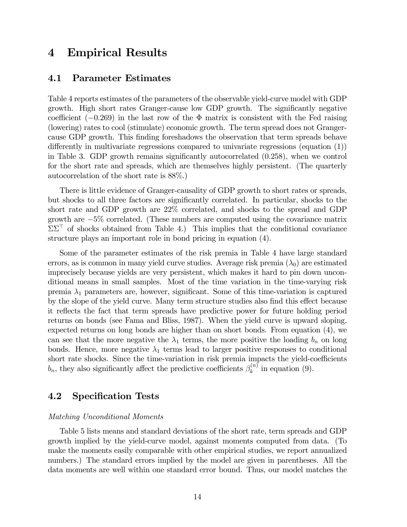## 4 Empirical Results

### 4.1 Parameter Estimates

Table 4 reports estimates of the parameters of the observable yield-curve model with GDP growth. High short rates Granger-cause low GDP growth. The significantly negative coefficient  $(-0.269)$  in the last row of the  $\Phi$  matrix is consistent with the Fed raising (lowering) rates to cool (stimulate) economic growth. The term spread does not Grangercause GDP growth. This finding foreshadows the observation that term spreads behave differently in multivariate regressions compared to univariate regressions (equation (1)) in Table 3. GDP growth remains significantly autocorrelated (0.258), when we control for the short rate and spreads, which are themselves highly persistent. (The quarterly autocorrelation of the short rate is 88%.)

There is little evidence of Granger-causality of GDP growth to short rates or spreads, but shocks to all three factors are significantly correlated. In particular, shocks to the short rate and GDP growth are 22% correlated, and shocks to the spread and GDP growth are −5% correlated. (These numbers are computed using the covariance matrix  $\Sigma\Sigma^{\top}$  of shocks obtained from Table 4.) This implies that the conditional covariance structure plays an important role in bond pricing in equation (4).

Some of the parameter estimates of the risk premia in Table 4 have large standard errors, as is common in many yield curve studies. Average risk premia  $(\lambda_0)$  are estimated imprecisely because yields are very persistent, which makes it hard to pin down unconditional means in small samples. Most of the time variation in the time-varying risk premia  $\lambda_1$  parameters are, however, significant. Some of this time-variation is captured by the slope of the yield curve. Many term structure studies also find this effect because it reflects the fact that term spreads have predictive power for future holding period returns on bonds (see Fama and Bliss, 1987). When the yield curve is upward sloping, expected returns on long bonds are higher than on short bonds. From equation (4), we can see that the more negative the  $\lambda_1$  terms, the more positive the loading  $b_n$  on long bonds. Hence, more negative  $\lambda_1$  terms lead to larger positive responses to conditional short rate shocks. Since the time-variation in risk premia impacts the yield-coefficients  $b_n$ , they also significantly affect the predictive coefficients  $\beta_k^{(n)}$  in equation (9).

#### 4.2 Specification Tests

#### Matching Unconditional Moments

Table 5 lists means and standard deviations of the short rate, term spreads and GDP growth implied by the yield-curve model, against moments computed from data. (To make the moments easily comparable with other empirical studies, we report annualized numbers.) The standard errors implied by the model are given in parentheses. All the data moments are well within one standard error bound. Thus, our model matches the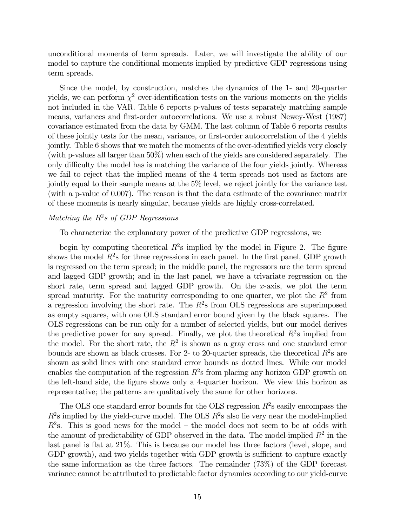unconditional moments of term spreads. Later, we will investigate the ability of our model to capture the conditional moments implied by predictive GDP regressions using term spreads.

Since the model, by construction, matches the dynamics of the 1- and 20-quarter yields, we can perform  $\chi^2$  over-identification tests on the various moments on the yields not included in the VAR. Table 6 reports p-values of tests separately matching sample means, variances and first-order autocorrelations. We use a robust Newey-West (1987) covariance estimated from the data by GMM. The last column of Table 6 reports results of these jointly tests for the mean, variance, or first-order autocorrelation of the 4 yields jointly. Table 6 shows that we match the moments of the over-identified yields very closely (with p-values all larger than 50%) when each of the yields are considered separately. The only difficulty the model has is matching the variance of the four yields jointly. Whereas we fail to reject that the implied means of the 4 term spreads not used as factors are jointly equal to their sample means at the 5% level, we reject jointly for the variance test (with a p-value of 0.007). The reason is that the data estimate of the covariance matrix of these moments is nearly singular, because yields are highly cross-correlated.

### Matching the  $R^2$ s of GDP Regressions

To characterize the explanatory power of the predictive GDP regressions, we

begin by computing theoretical  $R^2$ s implied by the model in Figure 2. The figure shows the model  $R^2$ s for three regressions in each panel. In the first panel, GDP growth is regressed on the term spread; in the middle panel, the regressors are the term spread and lagged GDP growth; and in the last panel, we have a trivariate regression on the short rate, term spread and lagged GDP growth. On the  $x$ -axis, we plot the term spread maturity. For the maturity corresponding to one quarter, we plot the  $R^2$  from a regression involving the short rate. The  $R^2$ s from OLS regressions are superimposed as empty squares, with one OLS standard error bound given by the black squares. The OLS regressions can be run only for a number of selected yields, but our model derives the predictive power for any spread. Finally, we plot the theoretical  $R^2$ s implied from the model. For the short rate, the  $R^2$  is shown as a gray cross and one standard error bounds are shown as black crosses. For 2- to 20-quarter spreads, the theoretical  $R^2$ s are shown as solid lines with one standard error bounds as dotted lines. While our model enables the computation of the regression  $R^2$ s from placing any horizon GDP growth on the left-hand side, the figure shows only a 4-quarter horizon. We view this horizon as representative; the patterns are qualitatively the same for other horizons.

The OLS one standard error bounds for the OLS regression  $R^2$ s easily encompass the  $R^2$ s implied by the yield-curve model. The OLS  $R^2$ s also lie very near the model-implied  $R<sup>2</sup>$ s. This is good news for the model – the model does not seem to be at odds with the amount of predictability of GDP observed in the data. The model-implied  $R^2$  in the last panel is flat at 21%. This is because our model has three factors (level, slope, and GDP growth), and two yields together with GDP growth is sufficient to capture exactly the same information as the three factors. The remainder (73%) of the GDP forecast variance cannot be attributed to predictable factor dynamics according to our yield-curve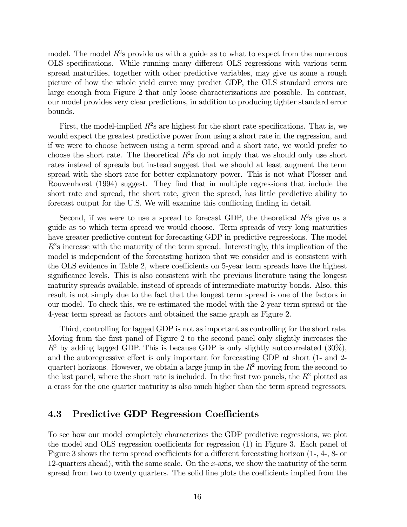model. The model  $R^2$ s provide us with a guide as to what to expect from the numerous OLS specifications. While running many different OLS regressions with various term spread maturities, together with other predictive variables, may give us some a rough picture of how the whole yield curve may predict GDP, the OLS standard errors are large enough from Figure 2 that only loose characterizations are possible. In contrast, our model provides very clear predictions, in addition to producing tighter standard error bounds.

First, the model-implied  $R^2$ s are highest for the short rate specifications. That is, we would expect the greatest predictive power from using a short rate in the regression, and if we were to choose between using a term spread and a short rate, we would prefer to choose the short rate. The theoretical  $R^2$ s do not imply that we should only use short rates instead of spreads but instead suggest that we should at least augment the term spread with the short rate for better explanatory power. This is not what Plosser and Rouwenhorst (1994) suggest. They find that in multiple regressions that include the short rate and spread, the short rate, given the spread, has little predictive ability to forecast output for the U.S. We will examine this conflicting finding in detail.

Second, if we were to use a spread to forecast GDP, the theoretical  $R^2$ s give us a guide as to which term spread we would choose. Term spreads of very long maturities have greater predictive content for forecasting GDP in predictive regressions. The model  $R<sup>2</sup>s$  increase with the maturity of the term spread. Interestingly, this implication of the model is independent of the forecasting horizon that we consider and is consistent with the OLS evidence in Table 2, where coefficients on 5-year term spreads have the highest significance levels. This is also consistent with the previous literature using the longest maturity spreads available, instead of spreads of intermediate maturity bonds. Also, this result is not simply due to the fact that the longest term spread is one of the factors in our model. To check this, we re-estimated the model with the 2-year term spread or the 4-year term spread as factors and obtained the same graph as Figure 2.

Third, controlling for lagged GDP is not as important as controlling for the short rate. Moving from the first panel of Figure 2 to the second panel only slightly increases the  $R<sup>2</sup>$  by adding lagged GDP. This is because GDP is only slightly autocorrelated (30%), and the autoregressive effect is only important for forecasting GDP at short (1- and 2 quarter) horizons. However, we obtain a large jump in the  $R^2$  moving from the second to the last panel, where the short rate is included. In the first two panels, the  $R^2$  plotted as a cross for the one quarter maturity is also much higher than the term spread regressors.

### 4.3 Predictive GDP Regression Coefficients

To see how our model completely characterizes the GDP predictive regressions, we plot the model and OLS regression coefficients for regression (1) in Figure 3. Each panel of Figure 3 shows the term spread coefficients for a different forecasting horizon (1-, 4-, 8- or 12-quarters ahead), with the same scale. On the x-axis, we show the maturity of the term spread from two to twenty quarters. The solid line plots the coefficients implied from the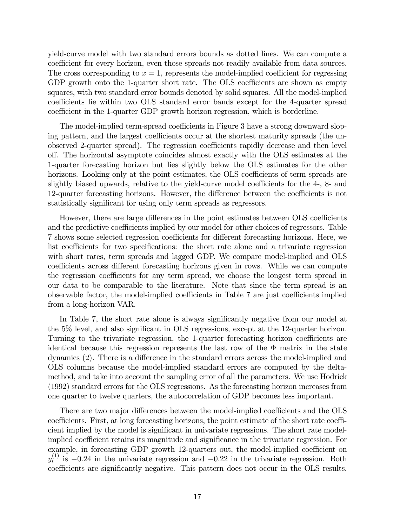yield-curve model with two standard errors bounds as dotted lines. We can compute a coefficient for every horizon, even those spreads not readily available from data sources. The cross corresponding to  $x = 1$ , represents the model-implied coefficient for regressing GDP growth onto the 1-quarter short rate. The OLS coefficients are shown as empty squares, with two standard error bounds denoted by solid squares. All the model-implied coefficients lie within two OLS standard error bands except for the 4-quarter spread coefficient in the 1-quarter GDP growth horizon regression, which is borderline.

The model-implied term-spread coefficients in Figure 3 have a strong downward sloping pattern, and the largest coefficients occur at the shortest maturity spreads (the unobserved 2-quarter spread). The regression coefficients rapidly decrease and then level off. The horizontal asymptote coincides almost exactly with the OLS estimates at the 1-quarter forecasting horizon but lies slightly below the OLS estimates for the other horizons. Looking only at the point estimates, the OLS coefficients of term spreads are slightly biased upwards, relative to the yield-curve model coefficients for the 4-, 8- and 12-quarter forecasting horizons. However, the difference between the coefficients is not statistically significant for using only term spreads as regressors.

However, there are large differences in the point estimates between OLS coefficients and the predictive coefficients implied by our model for other choices of regressors. Table 7 shows some selected regression coefficients for different forecasting horizons. Here, we list coefficients for two specifications: the short rate alone and a trivariate regression with short rates, term spreads and lagged GDP. We compare model-implied and OLS coefficients across different forecasting horizons given in rows. While we can compute the regression coefficients for any term spread, we choose the longest term spread in our data to be comparable to the literature. Note that since the term spread is an observable factor, the model-implied coefficients in Table 7 are just coefficients implied from a long-horizon VAR.

In Table 7, the short rate alone is always significantly negative from our model at the 5% level, and also significant in OLS regressions, except at the 12-quarter horizon. Turning to the trivariate regression, the 1-quarter forecasting horizon coefficients are identical because this regression represents the last row of the  $\Phi$  matrix in the state dynamics (2). There is a difference in the standard errors across the model-implied and OLS columns because the model-implied standard errors are computed by the deltamethod, and take into account the sampling error of all the parameters. We use Hodrick (1992) standard errors for the OLS regressions. As the forecasting horizon increases from one quarter to twelve quarters, the autocorrelation of GDP becomes less important.

There are two major differences between the model-implied coefficients and the OLS coefficients. First, at long forecasting horizons, the point estimate of the short rate coefficient implied by the model is significant in univariate regressions. The short rate modelimplied coefficient retains its magnitude and significance in the trivariate regression. For example, in forecasting GDP growth 12-quarters out, the model-implied coefficient on  $y_t^{(1)}$  is  $-0.24$  in the univariate regression and  $-0.22$  in the trivariate regression. Both coefficients are significantly negative. This pattern does not occur in the OLS results.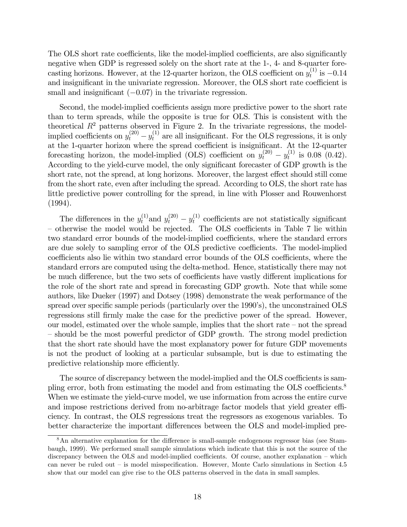The OLS short rate coefficients, like the model-implied coefficients, are also significantly negative when GDP is regressed solely on the short rate at the 1-, 4- and 8-quarter forecasting horizons. However, at the 12-quarter horizon, the OLS coefficient on  $y_t^{(1)}$  is  $-0.14$ and insignificant in the univariate regression. Moreover, the OLS short rate coefficient is small and insignificant  $(-0.07)$  in the trivariate regression.

Second, the model-implied coefficients assign more predictive power to the short rate than to term spreads, while the opposite is true for OLS. This is consistent with the theoretical  $R<sup>2</sup>$  patterns observed in Figure 2. In the trivariate regressions, the modelimplied coefficients on  $y_t^{(20)} - y_t^{(1)}$  are all insignificant. For the OLS regressions, it is only at the 1-quarter horizon where the spread coefficient is insignificant. At the 12-quarter forecasting horizon, the model-implied (OLS) coefficient on  $y_t^{(20)} - y_t^{(1)}$  is 0.08 (0.42). According to the yield-curve model, the only significant forecaster of GDP growth is the short rate, not the spread, at long horizons. Moreover, the largest effect should still come from the short rate, even after including the spread. According to OLS, the short rate has little predictive power controlling for the spread, in line with Plosser and Rouwenhorst (1994).

The differences in the  $y_t^{(1)}$  and  $y_t^{(20)} - y_t^{(1)}$  coefficients are not statistically significant — otherwise the model would be rejected. The OLS coefficients in Table 7 lie within two standard error bounds of the model-implied coefficients, where the standard errors are due solely to sampling error of the OLS predictive coefficients. The model-implied coefficients also lie within two standard error bounds of the OLS coefficients, where the standard errors are computed using the delta-method. Hence, statistically there may not be much difference, but the two sets of coefficients have vastly different implications for the role of the short rate and spread in forecasting GDP growth. Note that while some authors, like Dueker (1997) and Dotsey (1998) demonstrate the weak performance of the spread over specific sample periods (particularly over the 1990's), the unconstrained OLS regressions still firmly make the case for the predictive power of the spread. However, our model, estimated over the whole sample, implies that the short rate — not the spread — should be the most powerful predictor of GDP growth. The strong model prediction that the short rate should have the most explanatory power for future GDP movements is not the product of looking at a particular subsample, but is due to estimating the predictive relationship more efficiently.

The source of discrepancy between the model-implied and the OLS coefficients is sampling error, both from estimating the model and from estimating the OLS coefficients.<sup>8</sup> When we estimate the yield-curve model, we use information from across the entire curve and impose restrictions derived from no-arbitrage factor models that yield greater efficiency. In contrast, the OLS regressions treat the regressors as exogenous variables. To better characterize the important differences between the OLS and model-implied pre-

<sup>8</sup>An alternative explanation for the difference is small-sample endogenous regressor bias (see Stambaugh, 1999). We performed small sample simulations which indicate that this is not the source of the discrepancy between the OLS and model-implied coefficients. Of course, another explanation — which can never be ruled out — is model misspecification. However, Monte Carlo simulations in Section 4.5 show that our model can give rise to the OLS patterns observed in the data in small samples.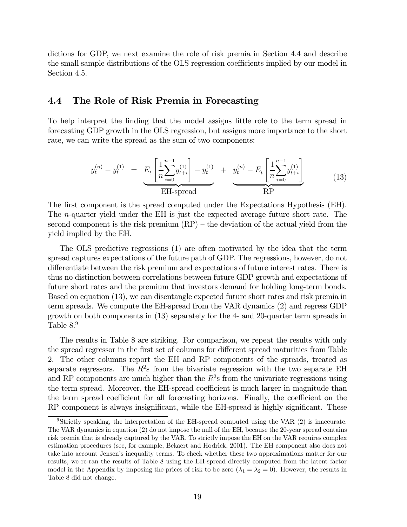dictions for GDP, we next examine the role of risk premia in Section 4.4 and describe the small sample distributions of the OLS regression coefficients implied by our model in Section 4.5.

### 4.4 The Role of Risk Premia in Forecasting

To help interpret the finding that the model assigns little role to the term spread in forecasting GDP growth in the OLS regression, but assigns more importance to the short rate, we can write the spread as the sum of two components:

$$
y_t^{(n)} - y_t^{(1)} = E_t \left[ \frac{1}{n} \sum_{i=0}^{n-1} y_{t+i}^{(1)} \right] - y_t^{(1)} + y_t^{(n)} - E_t \left[ \frac{1}{n} \sum_{i=0}^{n-1} y_{t+i}^{(1)} \right]
$$
(13)

The first component is the spread computed under the Expectations Hypothesis (EH). The n-quarter yield under the EH is just the expected average future short rate. The second component is the risk premium  $(RP)$  – the deviation of the actual yield from the yield implied by the EH.

The OLS predictive regressions (1) are often motivated by the idea that the term spread captures expectations of the future path of GDP. The regressions, however, do not differentiate between the risk premium and expectations of future interest rates. There is thus no distinction between correlations between future GDP growth and expectations of future short rates and the premium that investors demand for holding long-term bonds. Based on equation (13), we can disentangle expected future short rates and risk premia in term spreads. We compute the EH-spread from the VAR dynamics (2) and regress GDP growth on both components in (13) separately for the 4- and 20-quarter term spreads in Table 8.9

The results in Table 8 are striking. For comparison, we repeat the results with only the spread regressor in the first set of columns for different spread maturities from Table 2. The other columns report the EH and RP components of the spreads, treated as separate regressors. The  $R^2$ s from the bivariate regression with the two separate EH and RP components are much higher than the  $R^2$ s from the univariate regressions using the term spread. Moreover, the EH-spread coefficient is much larger in magnitude than the term spread coefficient for all forecasting horizons. Finally, the coefficient on the RP component is always insignificant, while the EH-spread is highly significant. These

<sup>9</sup>Strictly speaking, the interpretation of the EH-spread computed using the VAR (2) is inaccurate. The VAR dynamics in equation (2) do not impose the null of the EH, because the 20-year spread contains risk premia that is already captured by the VAR. To strictly impose the EH on the VAR requires complex estimation procedures (see, for example, Bekaert and Hodrick, 2001). The EH component also does not take into account Jensen's inequality terms. To check whether these two approximations matter for our results, we re-ran the results of Table 8 using the EH-spread directly computed from the latent factor model in the Appendix by imposing the prices of risk to be zero  $(\lambda_1 = \lambda_2 = 0)$ . However, the results in Table 8 did not change.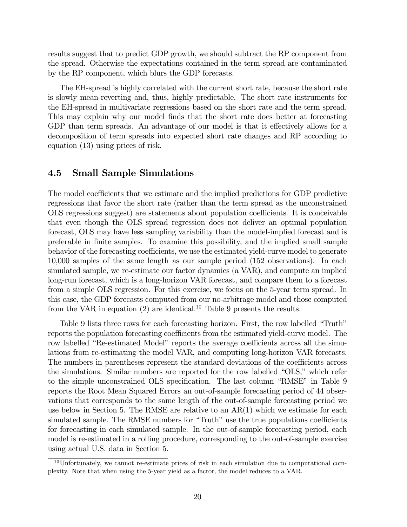results suggest that to predict GDP growth, we should subtract the RP component from the spread. Otherwise the expectations contained in the term spread are contaminated by the RP component, which blurs the GDP forecasts.

The EH-spread is highly correlated with the current short rate, because the short rate is slowly mean-reverting and, thus, highly predictable. The short rate instruments for the EH-spread in multivariate regressions based on the short rate and the term spread. This may explain why our model finds that the short rate does better at forecasting GDP than term spreads. An advantage of our model is that it effectively allows for a decomposition of term spreads into expected short rate changes and RP according to equation (13) using prices of risk.

### 4.5 Small Sample Simulations

The model coefficients that we estimate and the implied predictions for GDP predictive regressions that favor the short rate (rather than the term spread as the unconstrained OLS regressions suggest) are statements about population coefficients. It is conceivable that even though the OLS spread regression does not deliver an optimal population forecast, OLS may have less sampling variability than the model-implied forecast and is preferable in finite samples. To examine this possibility, and the implied small sample behavior of the forecasting coefficients, we use the estimated yield-curve model to generate 10,000 samples of the same length as our sample period (152 observations). In each simulated sample, we re-estimate our factor dynamics (a VAR), and compute an implied long-run forecast, which is a long-horizon VAR forecast, and compare them to a forecast from a simple OLS regression. For this exercise, we focus on the 5-year term spread. In this case, the GDP forecasts computed from our no-arbitrage model and those computed from the VAR in equation  $(2)$  are identical.<sup>10</sup> Table 9 presents the results.

Table 9 lists three rows for each forecasting horizon. First, the row labelled "Truth" reports the population forecasting coefficients from the estimated yield-curve model. The row labelled "Re-estimated Model" reports the average coefficients across all the simulations from re-estimating the model VAR, and computing long-horizon VAR forecasts. The numbers in parentheses represent the standard deviations of the coefficients across the simulations. Similar numbers are reported for the row labelled "OLS," which refer to the simple unconstrained OLS specification. The last column "RMSE" in Table 9 reports the Root Mean Squared Errors an out-of-sample forecasting period of 44 observations that corresponds to the same length of the out-of-sample forecasting period we use below in Section 5. The RMSE are relative to an  $AR(1)$  which we estimate for each simulated sample. The RMSE numbers for "Truth" use the true populations coefficients for forecasting in each simulated sample. In the out-of-sample forecasting period, each model is re-estimated in a rolling procedure, corresponding to the out-of-sample exercise using actual U.S. data in Section 5.

<sup>10</sup>Unfortunately, we cannot re-estimate prices of risk in each simulation due to computational complexity. Note that when using the 5-year yield as a factor, the model reduces to a VAR.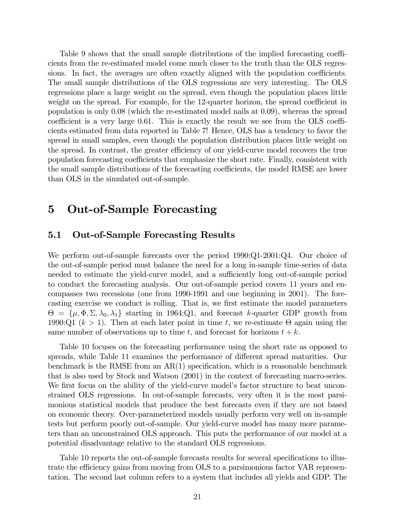Table 9 shows that the small sample distributions of the implied forecasting coefficients from the re-estimated model come much closer to the truth than the OLS regressions. In fact, the averages are often exactly aligned with the population coefficients. The small sample distributions of the OLS regressions are very interesting. The OLS regressions place a large weight on the spread, even though the population places little weight on the spread. For example, for the 12-quarter horizon, the spread coefficient in population is only 0.08 (which the re-estimated model nails at 0.09), whereas the spread coefficient is a very large 0.61. This is exactly the result we see from the OLS coefficients estimated from data reported in Table 7! Hence, OLS has a tendency to favor the spread in small samples, even though the population distribution places little weight on the spread. In contrast, the greater efficiency of our yield-curve model recovers the true population forecasting coefficients that emphasize the short rate. Finally, consistent with the small sample distributions of the forecasting coefficients, the model RMSE are lower than OLS in the simulated out-of-sample.

## 5 Out-of-Sample Forecasting

### 5.1 Out-of-Sample Forecasting Results

We perform out-of-sample forecasts over the period  $1990:Q1-2001:Q4$ . Our choice of the out-of-sample period must balance the need for a long in-sample time-series of data needed to estimate the yield-curve model, and a sufficiently long out-of-sample period to conduct the forecasting analysis. Our out-of-sample period covers 11 years and encompasses two recessions (one from 1990-1991 and one beginning in 2001). The forecasting exercise we conduct is rolling. That is, we first estimate the model parameters  $\Theta = {\mu, \Phi, \Sigma, \lambda_0, \lambda_1}$  starting in 1964:Q1, and forecast k-quarter GDP growth from 1990:Q1 ( $k > 1$ ). Then at each later point in time t, we re-estimate  $\Theta$  again using the same number of observations up to time t, and forecast for horizons  $t + k$ .

Table 10 focuses on the forecasting performance using the short rate as opposed to spreads, while Table 11 examines the performance of different spread maturities. Our benchmark is the RMSE from an  $AR(1)$  specification, which is a reasonable benchmark that is also used by Stock and Watson (2001) in the context of forecasting macro-series. We first focus on the ability of the yield-curve model's factor structure to beat unconstrained OLS regressions. In out-of-sample forecasts, very often it is the most parsimonious statistical models that produce the best forecasts even if they are not based on economic theory. Over-parameterized models usually perform very well on in-sample tests but perform poorly out-of-sample. Our yield-curve model has many more parameters than an unconstrained OLS approach. This puts the performance of our model at a potential disadvantage relative to the standard OLS regressions.

Table 10 reports the out-of-sample forecasts results for several specifications to illustrate the efficiency gains from moving from OLS to a parsimonious factor VAR representation. The second last column refers to a system that includes all yields and GDP. The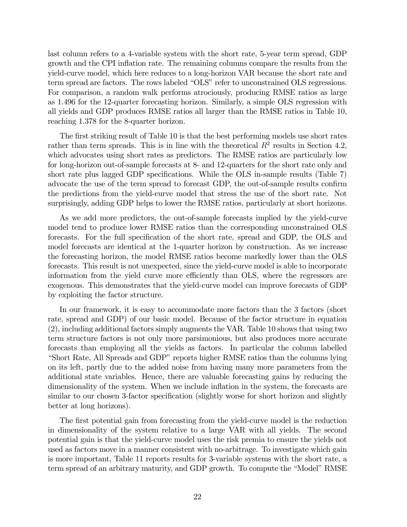last column refers to a 4-variable system with the short rate, 5-year term spread, GDP growth and the CPI inflation rate. The remaining columns compare the results from the yield-curve model, which here reduces to a long-horizon VAR because the short rate and term spread are factors. The rows labeled "OLS" refer to unconstrained OLS regressions. For comparison, a random walk performs atrociously, producing RMSE ratios as large as 1.496 for the 12-quarter forecasting horizon. Similarly, a simple OLS regression with all yields and GDP produces RMSE ratios all larger than the RMSE ratios in Table 10, reaching 1.378 for the 8-quarter horizon.

The first striking result of Table 10 is that the best performing models use short rates rather than term spreads. This is in line with the theoretical  $R^2$  results in Section 4.2, which advocates using short rates as predictors. The RMSE ratios are particularly low for long-horizon out-of-sample forecasts at 8- and 12-quarters for the short rate only and short rate plus lagged GDP specifications. While the OLS in-sample results (Table 7) advocate the use of the term spread to forecast GDP, the out-of-sample results confirm the predictions from the yield-curve model that stress the use of the short rate. Not surprisingly, adding GDP helps to lower the RMSE ratios, particularly at short horizons.

As we add more predictors, the out-of-sample forecasts implied by the yield-curve model tend to produce lower RMSE ratios than the corresponding unconstrained OLS forecasts. For the full specification of the short rate, spread and GDP, the OLS and model forecasts are identical at the 1-quarter horizon by construction. As we increase the forecasting horizon, the model RMSE ratios become markedly lower than the OLS forecasts. This result is not unexpected, since the yield-curve model is able to incorporate information from the yield curve more efficiently than OLS, where the regressors are exogenous. This demonstrates that the yield-curve model can improve forecasts of GDP by exploiting the factor structure.

In our framework, it is easy to accommodate more factors than the 3 factors (short rate, spread and GDP) of our basic model. Because of the factor structure in equation (2), including additional factors simply augments the VAR. Table 10 shows that using two term structure factors is not only more parsimonious, but also produces more accurate forecasts than employing all the yields as factors. In particular the column labelled "Short Rate, All Spreads and GDP" reports higher RMSE ratios than the columns lying on its left, partly due to the added noise from having many more parameters from the additional state variables. Hence, there are valuable forecasting gains by reducing the dimensionality of the system. When we include inflation in the system, the forecasts are similar to our chosen 3-factor specification (slightly worse for short horizon and slightly better at long horizons).

The first potential gain from forecasting from the yield-curve model is the reduction in dimensionality of the system relative to a large VAR with all yields. The second potential gain is that the yield-curve model uses the risk premia to ensure the yields not used as factors move in a manner consistent with no-arbitrage. To investigate which gain is more important, Table 11 reports results for 3-variable systems with the short rate, a term spread of an arbitrary maturity, and GDP growth. To compute the "Model" RMSE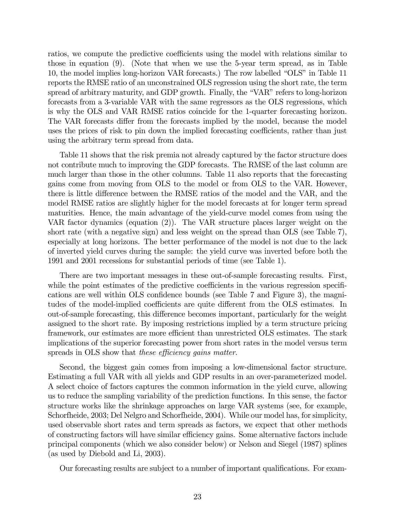ratios, we compute the predictive coefficients using the model with relations similar to those in equation (9). (Note that when we use the 5-year term spread, as in Table 10, the model implies long-horizon VAR forecasts.) The row labelled "OLS" in Table 11 reports the RMSE ratio of an unconstrained OLS regression using the short rate, the term spread of arbitrary maturity, and GDP growth. Finally, the "VAR" refers to long-horizon forecasts from a 3-variable VAR with the same regressors as the OLS regressions, which is why the OLS and VAR RMSE ratios coincide for the 1-quarter forecasting horizon. The VAR forecasts differ from the forecasts implied by the model, because the model uses the prices of risk to pin down the implied forecasting coefficients, rather than just using the arbitrary term spread from data.

Table 11 shows that the risk premia not already captured by the factor structure does not contribute much to improving the GDP forecasts. The RMSE of the last column are much larger than those in the other columns. Table 11 also reports that the forecasting gains come from moving from OLS to the model or from OLS to the VAR. However, there is little difference between the RMSE ratios of the model and the VAR, and the model RMSE ratios are slightly higher for the model forecasts at for longer term spread maturities. Hence, the main advantage of the yield-curve model comes from using the VAR factor dynamics (equation (2)). The VAR structure places larger weight on the short rate (with a negative sign) and less weight on the spread than OLS (see Table 7), especially at long horizons. The better performance of the model is not due to the lack of inverted yield curves during the sample: the yield curve was inverted before both the 1991 and 2001 recessions for substantial periods of time (see Table 1).

There are two important messages in these out-of-sample forecasting results. First, while the point estimates of the predictive coefficients in the various regression specifications are well within OLS confidence bounds (see Table 7 and Figure 3), the magnitudes of the model-implied coefficients are quite different from the OLS estimates. In out-of-sample forecasting, this difference becomes important, particularly for the weight assigned to the short rate. By imposing restrictions implied by a term structure pricing framework, our estimates are more efficient than unrestricted OLS estimates. The stark implications of the superior forecasting power from short rates in the model versus term spreads in OLS show that these efficiency gains matter.

Second, the biggest gain comes from imposing a low-dimensional factor structure. Estimating a full VAR with all yields and GDP results in an over-parameterized model. A select choice of factors captures the common information in the yield curve, allowing us to reduce the sampling variability of the prediction functions. In this sense, the factor structure works like the shrinkage approaches on large VAR systems (see, for example, Schorfheide, 2003; Del Nelgro and Schorfheide, 2004). While our model has, for simplicity, used observable short rates and term spreads as factors, we expect that other methods of constructing factors will have similar efficiency gains. Some alternative factors include principal components (which we also consider below) or Nelson and Siegel (1987) splines (as used by Diebold and Li, 2003).

Our forecasting results are subject to a number of important qualifications. For exam-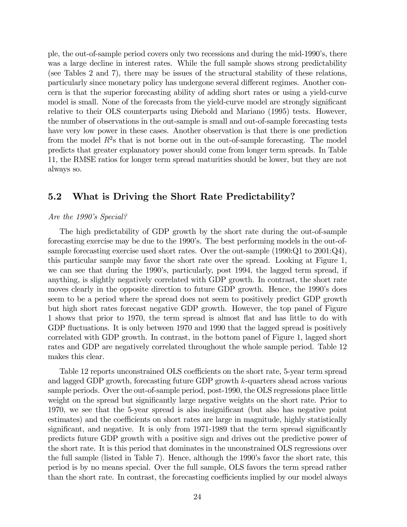ple, the out-of-sample period covers only two recessions and during the mid-1990's, there was a large decline in interest rates. While the full sample shows strong predictability (see Tables 2 and 7), there may be issues of the structural stability of these relations, particularly since monetary policy has undergone several different regimes. Another concern is that the superior forecasting ability of adding short rates or using a yield-curve model is small. None of the forecasts from the yield-curve model are strongly significant relative to their OLS counterparts using Diebold and Mariano (1995) tests. However, the number of observations in the out-sample is small and out-of-sample forecasting tests have very low power in these cases. Another observation is that there is one prediction from the model  $R^2$ s that is not borne out in the out-of-sample forecasting. The model predicts that greater explanatory power should come from longer term spreads. In Table 11, the RMSE ratios for longer term spread maturities should be lower, but they are not always so.

### 5.2 What is Driving the Short Rate Predictability?

#### Are the 1990's Special?

The high predictability of GDP growth by the short rate during the out-of-sample forecasting exercise may be due to the 1990's. The best performing models in the out-ofsample forecasting exercise used short rates. Over the out-sample (1990:Q1 to 2001:Q4), this particular sample may favor the short rate over the spread. Looking at Figure 1, we can see that during the 1990's, particularly, post 1994, the lagged term spread, if anything, is slightly negatively correlated with GDP growth. In contrast, the short rate moves clearly in the opposite direction to future GDP growth. Hence, the 1990's does seem to be a period where the spread does not seem to positively predict GDP growth but high short rates forecast negative GDP growth. However, the top panel of Figure 1 shows that prior to 1970, the term spread is almost flat and has little to do with GDP fluctuations. It is only between 1970 and 1990 that the lagged spread is positively correlated with GDP growth. In contrast, in the bottom panel of Figure 1, lagged short rates and GDP are negatively correlated throughout the whole sample period. Table 12 makes this clear.

Table 12 reports unconstrained OLS coefficients on the short rate, 5-year term spread and lagged GDP growth, forecasting future GDP growth k-quarters ahead across various sample periods. Over the out-of-sample period, post-1990, the OLS regressions place little weight on the spread but significantly large negative weights on the short rate. Prior to 1970, we see that the 5-year spread is also insignificant (but also has negative point estimates) and the coefficients on short rates are large in magnitude, highly statistically significant, and negative. It is only from 1971-1989 that the term spread significantly predicts future GDP growth with a positive sign and drives out the predictive power of the short rate. It is this period that dominates in the unconstrained OLS regressions over the full sample (listed in Table 7). Hence, although the 1990's favor the short rate, this period is by no means special. Over the full sample, OLS favors the term spread rather than the short rate. In contrast, the forecasting coefficients implied by our model always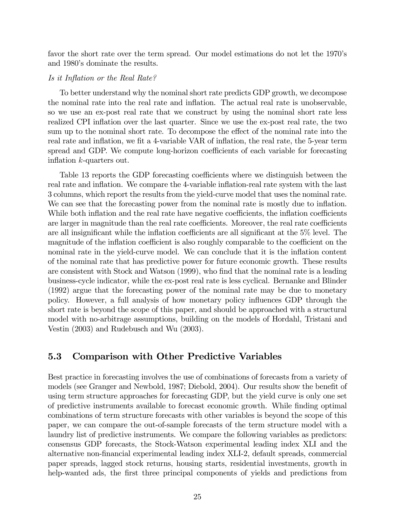favor the short rate over the term spread. Our model estimations do not let the 1970's and 1980's dominate the results.

#### Is it Inflation or the Real Rate?

To better understand why the nominal short rate predicts GDP growth, we decompose the nominal rate into the real rate and inflation. The actual real rate is unobservable, so we use an ex-post real rate that we construct by using the nominal short rate less realized CPI inflation over the last quarter. Since we use the ex-post real rate, the two sum up to the nominal short rate. To decompose the effect of the nominal rate into the real rate and inflation, we fit a 4-variable VAR of inflation, the real rate, the 5-year term spread and GDP. We compute long-horizon coefficients of each variable for forecasting inflation k-quarters out.

Table 13 reports the GDP forecasting coefficients where we distinguish between the real rate and inflation. We compare the 4-variable inflation-real rate system with the last 3 columns, which report the results from the yield-curve model that uses the nominal rate. We can see that the forecasting power from the nominal rate is mostly due to inflation. While both inflation and the real rate have negative coefficients, the inflation coefficients are larger in magnitude than the real rate coefficients. Moreover, the real rate coefficients are all insignificant while the inflation coefficients are all significant at the 5% level. The magnitude of the inflation coefficient is also roughly comparable to the coefficient on the nominal rate in the yield-curve model. We can conclude that it is the inflation content of the nominal rate that has predictive power for future economic growth. These results are consistent with Stock and Watson (1999), who find that the nominal rate is a leading business-cycle indicator, while the ex-post real rate is less cyclical. Bernanke and Blinder (1992) argue that the forecasting power of the nominal rate may be due to monetary policy. However, a full analysis of how monetary policy influences GDP through the short rate is beyond the scope of this paper, and should be approached with a structural model with no-arbitrage assumptions, building on the models of Hordahl, Tristani and Vestin (2003) and Rudebusch and Wu (2003).

### 5.3 Comparison with Other Predictive Variables

Best practice in forecasting involves the use of combinations of forecasts from a variety of models (see Granger and Newbold, 1987; Diebold, 2004). Our results show the benefit of using term structure approaches for forecasting GDP, but the yield curve is only one set of predictive instruments available to forecast economic growth. While finding optimal combinations of term structure forecasts with other variables is beyond the scope of this paper, we can compare the out-of-sample forecasts of the term structure model with a laundry list of predictive instruments. We compare the following variables as predictors: consensus GDP forecasts, the Stock-Watson experimental leading index XLI and the alternative non-financial experimental leading index XLI-2, default spreads, commercial paper spreads, lagged stock returns, housing starts, residential investments, growth in help-wanted ads, the first three principal components of yields and predictions from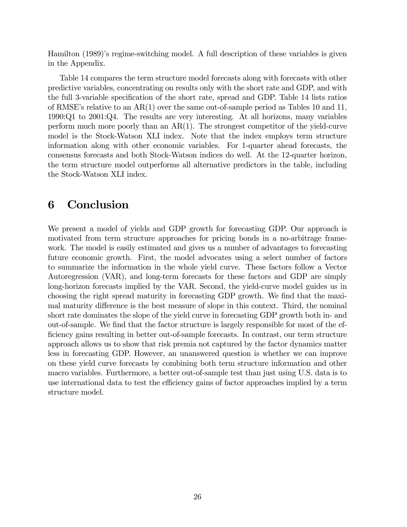Hamilton (1989)'s regime-switching model. A full description of these variables is given in the Appendix.

Table 14 compares the term structure model forecasts along with forecasts with other predictive variables, concentrating on results only with the short rate and GDP, and with the full 3-variable specification of the short rate, spread and GDP. Table 14 lists ratios of RMSE's relative to an AR(1) over the same out-of-sample period as Tables 10 and 11, 1990:Q1 to 2001:Q4. The results are very interesting. At all horizons, many variables perform much more poorly than an AR(1). The strongest competitor of the yield-curve model is the Stock-Watson XLI index. Note that the index employs term structure information along with other economic variables. For 1-quarter ahead forecasts, the consensus forecasts and both Stock-Watson indices do well. At the 12-quarter horizon, the term structure model outperforms all alternative predictors in the table, including the Stock-Watson XLI index.

### 6 Conclusion

We present a model of yields and GDP growth for forecasting GDP. Our approach is motivated from term structure approaches for pricing bonds in a no-arbitrage framework. The model is easily estimated and gives us a number of advantages to forecasting future economic growth. First, the model advocates using a select number of factors to summarize the information in the whole yield curve. These factors follow a Vector Autoregression (VAR), and long-term forecasts for these factors and GDP are simply long-horizon forecasts implied by the VAR. Second, the yield-curve model guides us in choosing the right spread maturity in forecasting GDP growth. We find that the maximal maturity difference is the best measure of slope in this context. Third, the nominal short rate dominates the slope of the yield curve in forecasting GDP growth both in- and out-of-sample. We find that the factor structure is largely responsible for most of the efficiency gains resulting in better out-of-sample forecasts. In contrast, our term structure approach allows us to show that risk premia not captured by the factor dynamics matter less in forecasting GDP. However, an unanswered question is whether we can improve on these yield curve forecasts by combining both term structure information and other macro variables. Furthermore, a better out-of-sample test than just using U.S. data is to use international data to test the efficiency gains of factor approaches implied by a term structure model.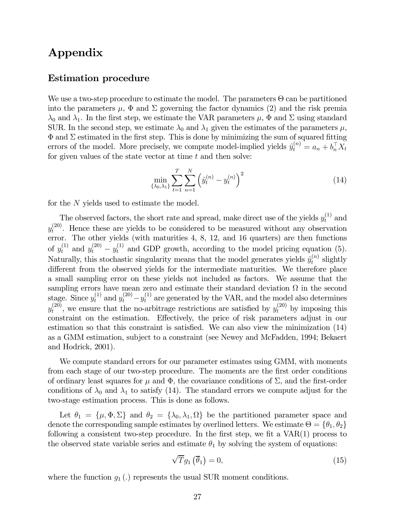## Appendix

### Estimation procedure

We use a two-step procedure to estimate the model. The parameters  $\Theta$  can be partitioned into the parameters  $\mu$ ,  $\Phi$  and  $\Sigma$  governing the factor dynamics (2) and the risk premia  $\lambda_0$  and  $\lambda_1$ . In the first step, we estimate the VAR parameters  $\mu$ ,  $\Phi$  and  $\Sigma$  using standard SUR. In the second step, we estimate  $\lambda_0$  and  $\lambda_1$  given the estimates of the parameters  $\mu$ ,  $\Phi$  and  $\Sigma$  estimated in the first step. This is done by minimizing the sum of squared fitting errors of the model. More precisely, we compute model-implied yields  $\hat{y}_t^{(n)} = a_n + b_n^{\top} X_t$ for given values of the state vector at time  $t$  and then solve:

$$
\min_{\{\lambda_0, \lambda_1\}} \sum_{t=1}^T \sum_{n=1}^N \left(\hat{y}_t^{(n)} - y_t^{(n)}\right)^2 \tag{14}
$$

for the N yields used to estimate the model.

The observed factors, the short rate and spread, make direct use of the yields  $y_t^{(1)}$  and  $y_t^{(20)}$ . Hence these are yields to be considered to be measured without any observation error. The other yields (with maturities 4, 8, 12, and 16 quarters) are then functions of  $y_t^{(1)}$  and  $y_t^{(20)} - y_t^{(1)}$  and GDP growth, according to the model pricing equation (5). Naturally, this stochastic singularity means that the model generates yields  $\hat{y}_t^{(n)}$  slightly different from the observed yields for the intermediate maturities. We therefore place a small sampling error on these yields not included as factors. We assume that the sampling errors have mean zero and estimate their standard deviation  $\Omega$  in the second stage. Since  $y_t^{(1)}$  and  $y_t^{(20)} - y_t^{(1)}$  are generated by the VAR, and the model also determines  $y_t^{(20)}$ , we ensure that the no-arbitrage restrictions are satisfied by  $y_t^{(20)}$  by imposing this constraint on the estimation. Effectively, the price of risk parameters adjust in our estimation so that this constraint is satisfied. We can also view the minimization (14) as a GMM estimation, subject to a constraint (see Newey and McFadden, 1994; Bekaert and Hodrick, 2001).

We compute standard errors for our parameter estimates using GMM, with moments from each stage of our two-step procedure. The moments are the first order conditions of ordinary least squares for  $\mu$  and  $\Phi$ , the covariance conditions of  $\Sigma$ , and the first-order conditions of  $\lambda_0$  and  $\lambda_1$  to satisfy (14). The standard errors we compute adjust for the two-stage estimation process. This is done as follows.

Let  $\theta_1 = {\mu, \Phi, \Sigma}$  and  $\theta_2 = {\lambda_0, \lambda_1, \Omega}$  be the partitioned parameter space and denote the corresponding sample estimates by overlined letters. We estimate  $\Theta = {\theta_1, \theta_2}$ following a consistent two-step procedure. In the first step, we fit a VAR(1) process to the observed state variable series and estimate  $\theta_1$  by solving the system of equations:

$$
\sqrt{T}g_1\left(\overline{\theta}_1\right) = 0,\t\t(15)
$$

where the function  $g_1(.)$  represents the usual SUR moment conditions.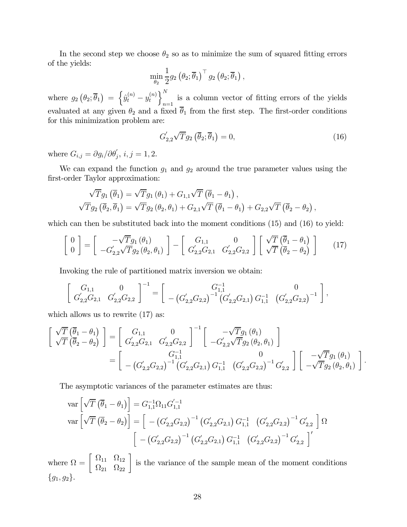In the second step we choose  $\theta_2$  so as to minimize the sum of squared fitting errors of the yields:

$$
\min_{\theta_2} \frac{1}{2} g_2 \left( \theta_2; \overline{\theta}_1 \right)^{\top} g_2 \left( \theta_2; \overline{\theta}_1 \right),
$$

where  $g_2(\theta_2; \overline{\theta}_1) = \left\{\hat{y}_t^{(n)} - y_t^{(n)}\right\}$  $\mathcal{N}^N$ is a column vector of fitting errors of the yields evaluated at any given  $\theta_2$  and a fixed  $\overline{\theta}_1$  from the first step. The first-order conditions for this minimization problem are:

$$
G'_{2,2}\sqrt{T}g_2\left(\overline{\theta}_2;\overline{\theta}_1\right)=0,\t\t(16)
$$

.

where  $G_{i,j} = \partial g_i / \partial \theta'_j$ ,  $i, j = 1, 2$ .

We can expand the function  $g_1$  and  $g_2$  around the true parameter values using the first-order Taylor approximation:

$$
\sqrt{T}g_1(\overline{\theta}_1) = \sqrt{T}g_1(\theta_1) + G_{1,1}\sqrt{T}(\overline{\theta}_1 - \theta_1),
$$
  

$$
\sqrt{T}g_2(\overline{\theta}_2, \overline{\theta}_1) = \sqrt{T}g_2(\theta_2, \theta_1) + G_{2,1}\sqrt{T}(\overline{\theta}_1 - \theta_1) + G_{2,2}\sqrt{T}(\overline{\theta}_2 - \theta_2),
$$

which can then be substituted back into the moment conditions (15) and (16) to yield:

$$
\begin{bmatrix} 0 \\ 0 \end{bmatrix} = \begin{bmatrix} -\sqrt{T}g_1(\theta_1) \\ -G'_{2,2}\sqrt{T}g_2(\theta_2, \theta_1) \end{bmatrix} - \begin{bmatrix} G_{1,1} & 0 \\ G'_{2,2}G_{2,1} & G'_{2,2}G_{2,2} \end{bmatrix} \begin{bmatrix} \sqrt{T} (\overline{\theta}_1 - \theta_1) \\ \sqrt{T} (\overline{\theta}_2 - \theta_2) \end{bmatrix}
$$
 (17)

Invoking the rule of partitioned matrix inversion we obtain:

$$
\left[\begin{array}{cc}G_{1,1}&0\\G'_{2,2}G_{2,1}&G'_{2,2}G_{2,2}\end{array}\right]^{-1}=\left[\begin{array}{cc}G_{1,1}^{-1}&0\\-(G'_{2,2}G_{2,2})^{-1}(G'_{2,2}G_{2,1})G_{1,1}^{-1}&(G'_{2,2}G_{2,2})^{-1}\end{array}\right],
$$

which allows us to rewrite  $(17)$  as:

$$
\begin{bmatrix}\n\sqrt{T} (\overline{\theta}_1 - \theta_1) \\
\sqrt{T} (\overline{\theta}_2 - \theta_2)\n\end{bmatrix} =\n\begin{bmatrix}\nG_{1,1} & 0 \\
G'_{2,2} G_{2,1} & G'_{2,2} G_{2,2}\n\end{bmatrix}^{-1}\n\begin{bmatrix}\n-\sqrt{T}g_1 (\theta_1) \\
-G'_{2,2} \sqrt{T}g_2 (\theta_2, \theta_1)\n\end{bmatrix}\n=\n\begin{bmatrix}\nG_{1,1}^{-1} & 0 \\
-(G'_{2,2} G_{2,2})^{-1} (G'_{2,2} G_{2,1}) G_{1,1}^{-1} & (G'_{2,2} G_{2,2})^{-1} G'_{2,2}\n\end{bmatrix}\n\begin{bmatrix}\n-\sqrt{T}g_1 (\theta_1) \\
-\sqrt{T}g_2 (\theta_2, \theta_1)\n\end{bmatrix}
$$

The asymptotic variances of the parameter estimates are thus:

$$
\operatorname{var}\left[\sqrt{T}\left(\overline{\theta}_{1}-\theta_{1}\right)\right]=G_{1,1}^{-1}\Omega_{11}G_{1,1}'^{-1}
$$
\n
$$
\operatorname{var}\left[\sqrt{T}\left(\overline{\theta}_{2}-\theta_{2}\right)\right]=\left[-\left(G_{2,2}'G_{2,2}\right)^{-1}\left(G_{2,2}'G_{2,1}\right)G_{1,1}^{-1}\left(G_{2,2}'G_{2,2}\right)^{-1}G_{2,2}'\right]\Omega
$$
\n
$$
\left[-\left(G_{2,2}'G_{2,2}\right)^{-1}\left(G_{2,2}'G_{2,1}\right)G_{1,1}^{-1}\left(G_{2,2}'G_{2,2}\right)^{-1}G_{2,2}'\right]'
$$

where  $\Omega = \begin{bmatrix} \Omega_{11} & \Omega_{12} \\ \Omega_{21} & \Omega_{22} \end{bmatrix}$  is the variance of the sample mean of the moment conditions  ${g_1, g_2}.$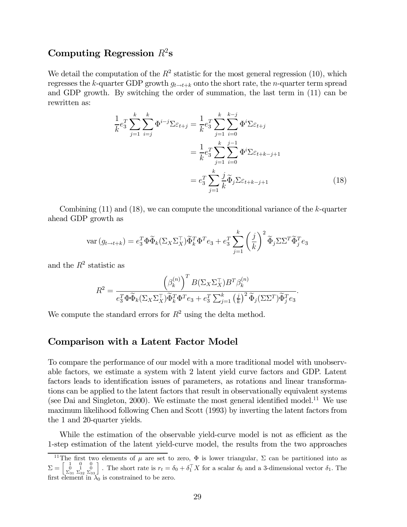## Computing Regression  $R^2$ s

We detail the computation of the  $R^2$  statistic for the most general regression (10), which regresses the k-quarter GDP growth  $g_{t\rightarrow t+k}$  onto the short rate, the n-quarter term spread and GDP growth. By switching the order of summation, the last term in (11) can be rewritten as:

$$
\frac{1}{k}e_3^T \sum_{j=1}^k \sum_{i=j}^k \Phi^{i-j} \Sigma \varepsilon_{t+j} = \frac{1}{k} e_3^T \sum_{j=1}^k \sum_{i=0}^{k-j} \Phi^i \Sigma \varepsilon_{t+j}
$$
\n
$$
= \frac{1}{k} e_3^T \sum_{j=1}^k \sum_{i=0}^{j-1} \Phi^i \Sigma \varepsilon_{t+k-j+1}
$$
\n
$$
= e_3^T \sum_{j=1}^k \frac{j}{k} \widetilde{\Phi}_j \Sigma \varepsilon_{t+k-j+1}
$$
\n(18)

Combining  $(11)$  and  $(18)$ , we can compute the unconditional variance of the k-quarter ahead GDP growth as

$$
\text{var}(g_{t\to t+k}) = e_3^T \Phi \widetilde{\Phi}_k(\Sigma_X \Sigma_X^{\top}) \widetilde{\Phi}_k^T \Phi^T e_3 + e_3^T \sum_{j=1}^k \left(\frac{j}{k}\right)^2 \widetilde{\Phi}_j \Sigma \Sigma^T \widetilde{\Phi}_j^T e_3
$$

and the  $R^2$  statistic as

$$
R^{2} = \frac{\left(\beta_{k}^{(n)}\right)^{T} B(\Sigma_{X}\Sigma_{X}^{\top}) B^{T}\beta_{k}^{(n)}}{e_{3}^{T} \Phi \widetilde{\Phi}_{k}(\Sigma_{X}\Sigma_{X}^{\top}) \widetilde{\Phi}_{k}^{T} \Phi^{T} e_{3} + e_{3}^{T} \sum_{j=1}^{k} \left(\frac{j}{k}\right)^{2} \widetilde{\Phi}_{j}(\Sigma \Sigma^{T}) \widetilde{\Phi}_{j}^{T} e_{3}}.
$$

We compute the standard errors for  $R^2$  using the delta method.

### Comparison with a Latent Factor Model

To compare the performance of our model with a more traditional model with unobservable factors, we estimate a system with 2 latent yield curve factors and GDP. Latent factors leads to identification issues of parameters, as rotations and linear transformations can be applied to the latent factors that result in observationally equivalent systems (see Dai and Singleton, 2000). We estimate the most general identified model.<sup>11</sup> We use maximum likelihood following Chen and Scott (1993) by inverting the latent factors from the 1 and 20-quarter yields.

While the estimation of the observable yield-curve model is not as efficient as the 1-step estimation of the latent yield-curve model, the results from the two approaches

<sup>&</sup>lt;sup>11</sup>The first two elements of  $\mu$  are set to zero,  $\Phi$  is lower triangular,  $\Sigma$  can be partitioned into as  $\Sigma = \begin{bmatrix} 1 & 0 & 0 \\ \frac{0}{2} & 1 & 0 \\ \frac{0}{2} & \frac{1}{2} & \frac{0}{2} & \frac{0}{2} \\ 0 & 0 & 0 & 0 \end{bmatrix}$ . The short rate is  $r_t = \delta_0 + \delta_1^{\top} X$  for a scalar  $\delta_0$  and a 3-dimensional vector  $\delta_1$ . The first element in  $\lambda_0$  is constrained to be zero.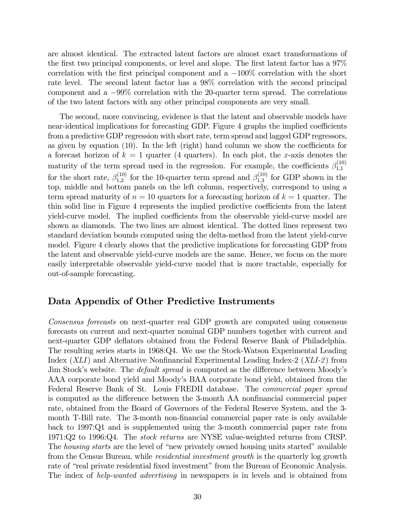are almost identical. The extracted latent factors are almost exact transformations of the first two principal components, or level and slope. The first latent factor has a 97% correlation with the first principal component and a −100% correlation with the short rate level. The second latent factor has a 98% correlation with the second principal component and a −99% correlation with the 20-quarter term spread. The correlations of the two latent factors with any other principal components are very small.

The second, more convincing, evidence is that the latent and observable models have near-identical implications for forecasting GDP. Figure 4 graphs the implied coefficients from a predictive GDP regression with short rate, term spread and lagged GDP regressors, as given by equation (10). In the left (right) hand column we show the coefficients for a forecast horizon of  $k = 1$  quarter (4 quarters). In each plot, the x-axis denotes the maturity of the term spread used in the regression. For example, the coefficients  $\beta_{1,1}^{(10)}$ for the short rate,  $\beta_{1,2}^{(10)}$  for the 10-quarter term spread and  $\beta_{1,3}^{(10)}$  for GDP shown in the top, middle and bottom panels on the left column, respectively, correspond to using a term spread maturity of  $n = 10$  quarters for a forecasting horizon of  $k = 1$  quarter. The thin solid line in Figure 4 represents the implied predictive coefficients from the latent yield-curve model. The implied coefficients from the observable yield-curve model are shown as diamonds. The two lines are almost identical. The dotted lines represent two standard deviation bounds computed using the delta-method from the latent yield-curve model. Figure 4 clearly shows that the predictive implications for forecasting GDP from the latent and observable yield-curve models are the same. Hence, we focus on the more easily interpretable observable yield-curve model that is more tractable, especially for out-of-sample forecasting.

### Data Appendix of Other Predictive Instruments

Consensus forecasts on next-quarter real GDP growth are computed using consensus forecasts on current and next-quarter nominal GDP numbers together with current and next-quarter GDP deflators obtained from the Federal Reserve Bank of Philadelphia. The resulting series starts in 1968:Q4. We use the Stock-Watson Experimental Leading Index (XLI) and Alternative Nonfinancial Experimental Leading Index-2 (XLI-2) from Jim Stock's website. The *default spread* is computed as the difference between Moody's AAA corporate bond yield and Moody's BAA corporate bond yield, obtained from the Federal Reserve Bank of St. Louis FREDII database. The commercial paper spread is computed as the difference between the 3-month AA nonfinancial commercial paper rate, obtained from the Board of Governors of the Federal Reserve System, and the 3 month T-Bill rate. The 3-month non-financial commercial paper rate is only available back to 1997:Q1 and is supplemented using the 3-month commercial paper rate from 1971:Q2 to 1996:Q4. The stock returns are NYSE value-weighted returns from CRSP. The housing starts are the level of "new privately owned housing units started" available from the Census Bureau, while *residential investment growth* is the quarterly log growth rate of "real private residential fixed investment" from the Bureau of Economic Analysis. The index of help-wanted advertising in newspapers is in levels and is obtained from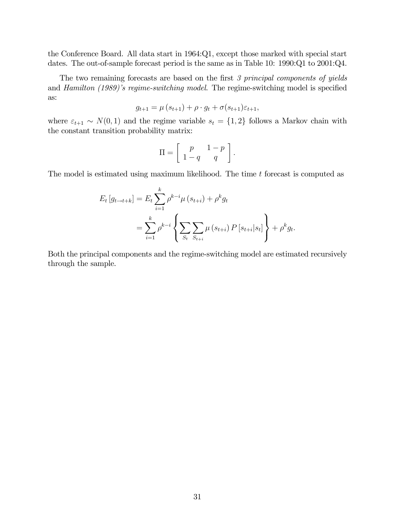the Conference Board. All data start in 1964:Q1, except those marked with special start dates. The out-of-sample forecast period is the same as in Table 10: 1990:Q1 to 2001:Q4.

The two remaining forecasts are based on the first 3 principal components of yields and Hamilton (1989)'s regime-switching model. The regime-switching model is specified as:

$$
g_{t+1} = \mu (s_{t+1}) + \rho \cdot g_t + \sigma (s_{t+1}) \varepsilon_{t+1},
$$

where  $\varepsilon_{t+1} \sim N(0, 1)$  and the regime variable  $s_t = \{1, 2\}$  follows a Markov chain with the constant transition probability matrix:

$$
\Pi = \left[ \begin{array}{cc} p & 1-p \\ 1-q & q \end{array} \right].
$$

The model is estimated using maximum likelihood. The time t forecast is computed as

$$
E_t [g_{t \to t+k}] = E_t \sum_{i=1}^k \rho^{k-i} \mu (s_{t+i}) + \rho^k g_t
$$
  
= 
$$
\sum_{i=1}^k \rho^{k-i} \left\{ \sum_{S_t} \sum_{S_{t+i}} \mu (s_{t+i}) P [s_{t+i} | s_t] \right\} + \rho^k g_t.
$$

Both the principal components and the regime-switching model are estimated recursively through the sample.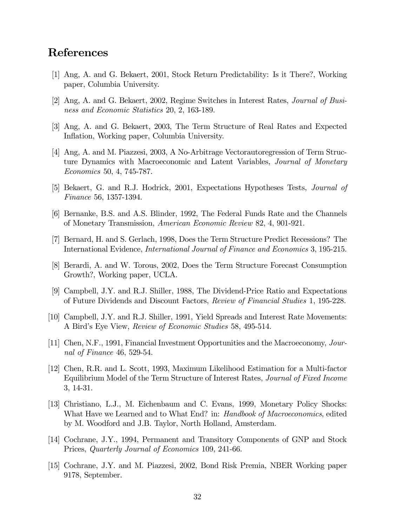## References

- [1] Ang, A. and G. Bekaert, 2001, Stock Return Predictability: Is it There?, Working paper, Columbia University.
- [2] Ang, A. and G. Bekaert, 2002, Regime Switches in Interest Rates, Journal of Business and Economic Statistics 20, 2, 163-189.
- [3] Ang, A. and G. Bekaert, 2003, The Term Structure of Real Rates and Expected Inflation, Working paper, Columbia University.
- [4] Ang, A. and M. Piazzesi, 2003, A No-Arbitrage Vectorautoregression of Term Structure Dynamics with Macroeconomic and Latent Variables, Journal of Monetary Economics 50, 4, 745-787.
- [5] Bekaert, G. and R.J. Hodrick, 2001, Expectations Hypotheses Tests, Journal of Finance 56, 1357-1394.
- [6] Bernanke, B.S. and A.S. Blinder, 1992, The Federal Funds Rate and the Channels of Monetary Transmission, American Economic Review 82, 4, 901-921.
- [7] Bernard, H. and S. Gerlach, 1998, Does the Term Structure Predict Recessions? The International Evidence, International Journal of Finance and Economics 3, 195-215.
- [8] Berardi, A. and W. Torous, 2002, Does the Term Structure Forecast Consumption Growth?, Working paper, UCLA.
- [9] Campbell, J.Y. and R.J. Shiller, 1988, The Dividend-Price Ratio and Expectations of Future Dividends and Discount Factors, Review of Financial Studies 1, 195-228.
- [10] Campbell, J.Y. and R.J. Shiller, 1991, Yield Spreads and Interest Rate Movements: A Bird's Eye View, Review of Economic Studies 58, 495-514.
- [11] Chen, N.F., 1991, Financial Investment Opportunities and the Macroeconomy, Journal of Finance 46, 529-54.
- [12] Chen, R.R. and L. Scott, 1993, Maximum Likelihood Estimation for a Multi-factor Equilibrium Model of the Term Structure of Interest Rates, Journal of Fixed Income 3, 14-31.
- [13] Christiano, L.J., M. Eichenbaum and C. Evans, 1999, Monetary Policy Shocks: What Have we Learned and to What End? in: *Handbook of Macroeconomics*, edited by M. Woodford and J.B. Taylor, North Holland, Amsterdam.
- [14] Cochrane, J.Y., 1994, Permanent and Transitory Components of GNP and Stock Prices, Quarterly Journal of Economics 109, 241-66.
- [15] Cochrane, J.Y. and M. Piazzesi, 2002, Bond Risk Premia, NBER Working paper 9178, September.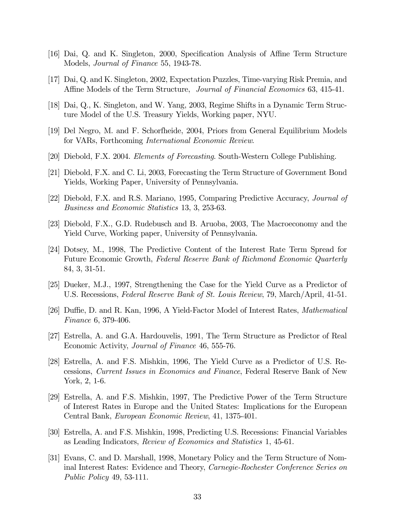- [16] Dai, Q. and K. Singleton, 2000, Specification Analysis of Affine Term Structure Models, Journal of Finance 55, 1943-78.
- [17] Dai, Q. and K. Singleton, 2002, Expectation Puzzles, Time-varying Risk Premia, and Affine Models of the Term Structure, Journal of Financial Economics 63, 415-41.
- [18] Dai, Q., K. Singleton, and W. Yang, 2003, Regime Shifts in a Dynamic Term Structure Model of the U.S. Treasury Yields, Working paper, NYU.
- [19] Del Negro, M. and F. Schorfheide, 2004, Priors from General Equilibrium Models for VARs, Forthcoming International Economic Review.
- [20] Diebold, F.X. 2004. Elements of Forecasting. South-Western College Publishing.
- [21] Diebold, F.X. and C. Li, 2003, Forecasting the Term Structure of Government Bond Yields, Working Paper, University of Pennsylvania.
- [22] Diebold, F.X. and R.S. Mariano, 1995, Comparing Predictive Accuracy, Journal of Business and Economic Statistics 13, 3, 253-63.
- [23] Diebold, F.X., G.D. Rudebusch and B. Aruoba, 2003, The Macroeconomy and the Yield Curve, Working paper, University of Pennsylvania.
- [24] Dotsey, M., 1998, The Predictive Content of the Interest Rate Term Spread for Future Economic Growth, Federal Reserve Bank of Richmond Economic Quarterly 84, 3, 31-51.
- [25] Dueker, M.J., 1997, Strengthening the Case for the Yield Curve as a Predictor of U.S. Recessions, Federal Reserve Bank of St. Louis Review, 79, March/April, 41-51.
- [26] Duffie, D. and R. Kan, 1996, A Yield-Factor Model of Interest Rates, Mathematical Finance 6, 379-406.
- [27] Estrella, A. and G.A. Hardouvelis, 1991, The Term Structure as Predictor of Real Economic Activity, *Journal of Finance* 46, 555-76.
- [28] Estrella, A. and F.S. Mishkin, 1996, The Yield Curve as a Predictor of U.S. Recessions, Current Issues in Economics and Finance, Federal Reserve Bank of New York, 2, 1-6.
- [29] Estrella, A. and F.S. Mishkin, 1997, The Predictive Power of the Term Structure of Interest Rates in Europe and the United States: Implications for the European Central Bank, European Economic Review, 41, 1375-401.
- [30] Estrella, A. and F.S. Mishkin, 1998, Predicting U.S. Recessions: Financial Variables as Leading Indicators, Review of Economics and Statistics 1, 45-61.
- [31] Evans, C. and D. Marshall, 1998, Monetary Policy and the Term Structure of Nominal Interest Rates: Evidence and Theory, Carnegie-Rochester Conference Series on Public Policy 49, 53-111.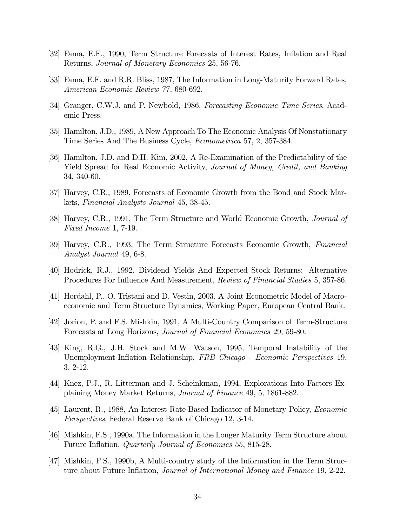- [32] Fama, E.F., 1990, Term Structure Forecasts of Interest Rates, Inflation and Real Returns, Journal of Monetary Economics 25, 56-76.
- [33] Fama, E.F. and R.R. Bliss, 1987, The Information in Long-Maturity Forward Rates, American Economic Review 77, 680-692.
- [34] Granger, C.W.J. and P. Newbold, 1986, Forecasting Economic Time Series. Academic Press.
- [35] Hamilton, J.D., 1989, A New Approach To The Economic Analysis Of Nonstationary Time Series And The Business Cycle, Econometrica 57, 2, 357-384.
- [36] Hamilton, J.D. and D.H. Kim, 2002, A Re-Examination of the Predictability of the Yield Spread for Real Economic Activity, Journal of Money, Credit, and Banking 34, 340-60.
- [37] Harvey, C.R., 1989, Forecasts of Economic Growth from the Bond and Stock Markets, Financial Analysts Journal 45, 38-45.
- [38] Harvey, C.R., 1991, The Term Structure and World Economic Growth, Journal of Fixed Income 1, 7-19.
- [39] Harvey, C.R., 1993, The Term Structure Forecasts Economic Growth, Financial Analyst Journal 49, 6-8.
- [40] Hodrick, R.J., 1992, Dividend Yields And Expected Stock Returns: Alternative Procedures For Influence And Measurement, Review of Financial Studies 5, 357-86.
- [41] Hordahl, P., O. Tristani and D. Vestin, 2003, A Joint Econometric Model of Macroeconomic and Term Structure Dynamics, Working Paper, European Central Bank.
- [42] Jorion, P. and F.S. Mishkin, 1991, A Multi-Country Comparison of Term-Structure Forecasts at Long Horizons, Journal of Financial Economics 29, 59-80.
- [43] King, R.G., J.H. Stock and M.W. Watson, 1995, Temporal Instability of the Unemployment-Inflation Relationship, FRB Chicago - Economic Perspectives 19, 3, 2-12.
- [44] Knez, P.J., R. Litterman and J. Scheinkman, 1994, Explorations Into Factors Explaining Money Market Returns, Journal of Finance 49, 5, 1861-882.
- [45] Laurent, R., 1988, An Interest Rate-Based Indicator of Monetary Policy, Economic Perspectives, Federal Reserve Bank of Chicago 12, 3-14.
- [46] Mishkin, F.S., 1990a, The Information in the Longer Maturity Term Structure about Future Inflation, Quarterly Journal of Economics 55, 815-28.
- [47] Mishkin, F.S., 1990b, A Multi-country study of the Information in the Term Structure about Future Inflation, Journal of International Money and Finance 19, 2-22.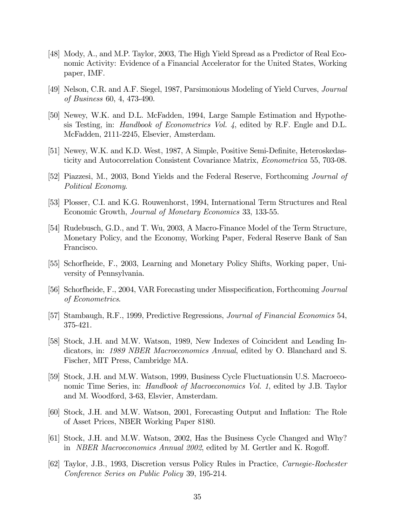- [48] Mody, A., and M.P. Taylor, 2003, The High Yield Spread as a Predictor of Real Economic Activity: Evidence of a Financial Accelerator for the United States, Working paper, IMF.
- [49] Nelson, C.R. and A.F. Siegel, 1987, Parsimonious Modeling of Yield Curves, Journal of Business 60, 4, 473-490.
- [50] Newey, W.K. and D.L. McFadden, 1994, Large Sample Estimation and Hypothesis Testing, in: Handbook of Econometrics Vol. 4, edited by R.F. Engle and D.L. McFadden, 2111-2245, Elsevier, Amsterdam.
- [51] Newey, W.K. and K.D. West, 1987, A Simple, Positive Semi-Definite, Heteroskedasticity and Autocorrelation Consistent Covariance Matrix, Econometrica 55, 703-08.
- [52] Piazzesi, M., 2003, Bond Yields and the Federal Reserve, Forthcoming Journal of Political Economy.
- [53] Plosser, C.I. and K.G. Rouwenhorst, 1994, International Term Structures and Real Economic Growth, Journal of Monetary Economics 33, 133-55.
- [54] Rudebusch, G.D., and T. Wu, 2003, A Macro-Finance Model of the Term Structure, Monetary Policy, and the Economy, Working Paper, Federal Reserve Bank of San Francisco.
- [55] Schorfheide, F., 2003, Learning and Monetary Policy Shifts, Working paper, University of Pennsylvania.
- [56] Schorfheide, F., 2004, VAR Forecasting under Misspecification, Forthcoming Journal of Econometrics.
- [57] Stambaugh, R.F., 1999, Predictive Regressions, Journal of Financial Economics 54, 375-421.
- [58] Stock, J.H. and M.W. Watson, 1989, New Indexes of Coincident and Leading Indicators, in: 1989 NBER Macroeconomics Annual, edited by O. Blanchard and S. Fischer, MIT Press, Cambridge MA.
- [59] Stock, J.H. and M.W. Watson, 1999, Business Cycle Fluctuationsin U.S. Macroeconomic Time Series, in: Handbook of Macroeconomics Vol. 1, edited by J.B. Taylor and M. Woodford, 3-63, Elsvier, Amsterdam.
- [60] Stock, J.H. and M.W. Watson, 2001, Forecasting Output and Inflation: The Role of Asset Prices, NBER Working Paper 8180.
- [61] Stock, J.H. and M.W. Watson, 2002, Has the Business Cycle Changed and Why? in NBER Macroeconomics Annual 2002, edited by M. Gertler and K. Rogoff.
- [62] Taylor, J.B., 1993, Discretion versus Policy Rules in Practice, Carnegie-Rochester Conference Series on Public Policy 39, 195-214.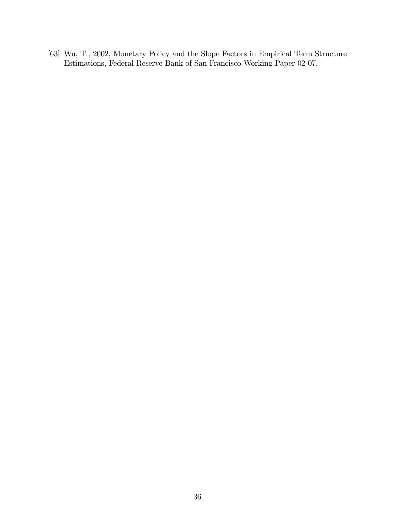[63] Wu, T., 2002, Monetary Policy and the Slope Factors in Empirical Term Structure Estimations, Federal Reserve Bank of San Francisco Working Paper 02-07.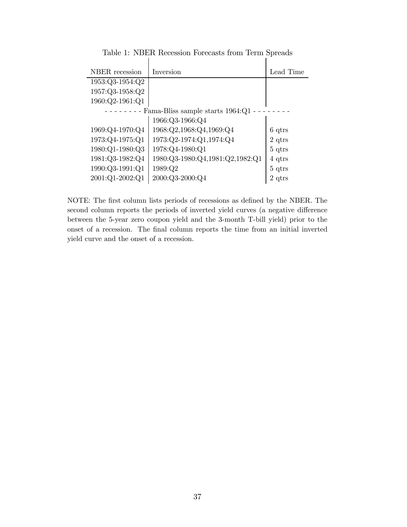| NBER recession  | Inversion                                 | Lead Time        |
|-----------------|-------------------------------------------|------------------|
| 1953:Q3-1954:Q2 |                                           |                  |
| 1957:Q3-1958:Q2 |                                           |                  |
| 1960:Q2-1961:Q1 |                                           |                  |
|                 | -------- Fama-Bliss sample starts 1964:Q1 |                  |
|                 | 1966:Q3-1966:Q4                           |                  |
| 1969:Q4-1970:Q4 | 1968:Q2,1968:Q4,1969:Q4                   | $6 \text{ qtrs}$ |
| 1973:Q4-1975:Q1 | 1973:Q2-1974:Q1,1974:Q4                   | $2 \text{ qtrs}$ |
| 1980:Q1-1980:Q3 | 1978:Q4-1980:Q1                           | $5 \text{ qtrs}$ |
| 1981:Q3-1982:Q4 | 1980:Q3-1980:Q4,1981:Q2,1982:Q1           | $4 \text{ qtrs}$ |
| 1990:Q3-1991:Q1 | 1989:Q2                                   | $5 \text{ qtrs}$ |
| 2001:Q1-2002:Q1 | 2000:Q3-2000:Q4                           | $2 \text{ qtrs}$ |

Table 1: NBER Recession Forecasts from Term Spreads

NOTE: The first column lists periods of recessions as defined by the NBER. The second column reports the periods of inverted yield curves (a negative difference between the 5-year zero coupon yield and the 3-month T-bill yield) prior to the onset of a recession. The final column reports the time from an initial inverted yield curve and the onset of a recession.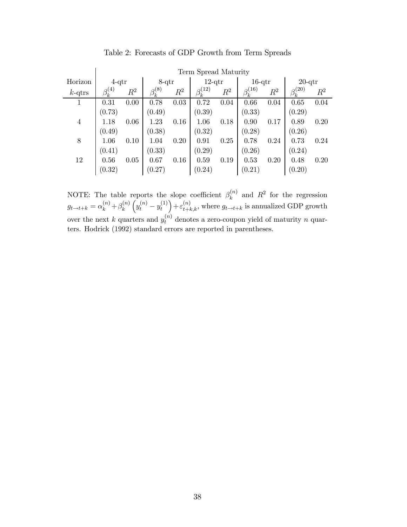|                | Term Spread Maturity |                |                 |       |                  |                |                  |                |                  |         |
|----------------|----------------------|----------------|-----------------|-------|------------------|----------------|------------------|----------------|------------------|---------|
| Horizon        | $4$ -qtr             |                | $8-qtr$         |       | $12-qtr$         |                | $16-qtr$         |                | $20$ -qtr        |         |
| $k$ -qtrs      | $\beta_k^{(4)}$      | $\mathbb{R}^2$ | $\beta_k^{(8)}$ | $R^2$ | $\beta_k^{(12)}$ | $\mathbb{R}^2$ | $\beta_k^{(16)}$ | $\mathbb{R}^2$ | $\beta_k^{(20)}$ | $\,R^2$ |
| 1              | 0.31                 | 0.00           | 0.78            | 0.03  | 0.72             | 0.04           | 0.66             | 0.04           | 0.65             | 0.04    |
|                | (0.73)               |                | (0.49)          |       | (0.39)           |                | (0.33)           |                | (0.29)           |         |
| $\overline{4}$ | 1.18                 | 0.06           | 1.23            | 0.16  | 1.06             | 0.18           | 0.90             | 0.17           | 0.89             | 0.20    |
|                | (0.49)               |                | (0.38)          |       | (0.32)           |                | (0.28)           |                | (0.26)           |         |
| $8\,$          | 1.06                 | 0.10           | 1.04            | 0.20  | 0.91             | 0.25           | 0.78             | 0.24           | 0.73             | 0.24    |
|                | (0.41)               |                | (0.33)          |       | (0.29)           |                | (0.26)           |                | (0.24)           |         |
| 12             | 0.56                 | 0.05           | 0.67            | 0.16  | 0.59             | 0.19           | 0.53             | 0.20           | 0.48             | 0.20    |
|                | (0.32)               |                | (0.27)          |       | (0.24)           |                | (0.21)           |                | (0.20)           |         |

Table 2: Forecasts of GDP Growth from Term Spreads

NOTE: The table reports the slope coefficient  $\beta_k^{(n)}$  and  $R^2$  for the regression  $g_{t\rightarrow t+k} = \alpha_k^{(n)} + \beta_k^{(n)}$  $\Big(y^{(n)}_t-y^{(1)}_t$ t  $\bigg) + \varepsilon_{t+k,k}^{(n)}$ , where  $g_{t \to t+k}$  is annualized GDP growth over the next k quarters and  $y_t^{(n)}$  denotes a zero-coupon yield of maturity n quarters. Hodrick (1992) standard errors are reported in parentheses.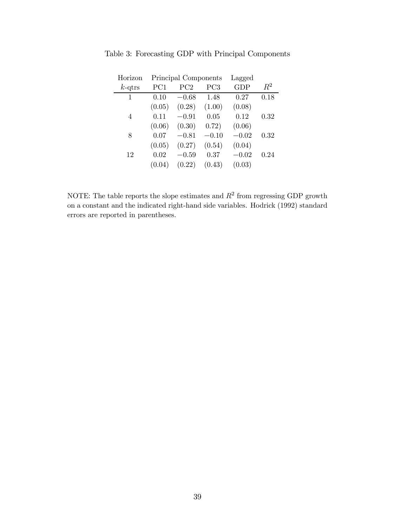| Horizon   |        | Principal Components |                 | Lagged     |       |
|-----------|--------|----------------------|-----------------|------------|-------|
| $k$ -qtrs | PC1    | PC2                  | PC <sub>3</sub> | <b>GDP</b> | $R^2$ |
| 1         | 0.10   | $-0.68$              | 1.48            | 0.27       | 0.18  |
|           | (0.05) | (0.28)               | (1.00)          | (0.08)     |       |
| 4         | 0.11   | $-0.91$              | 0.05            | 0.12       | 0.32  |
|           | (0.06) | (0.30)               | 0.72)           | (0.06)     |       |
| 8         | 0.07   | $-0.81$              | $-0.10$         | $-0.02$    | 0.32  |
|           | (0.05) | (0.27)               | (0.54)          | (0.04)     |       |
| 12        | 0.02   | $-0.59$              | 0.37            | $-0.02$    | 0.24  |
|           | (0.04) | (0.22)               | (0.43)          | (0.03)     |       |
|           |        |                      |                 |            |       |

Table 3: Forecasting GDP with Principal Components

NOTE: The table reports the slope estimates and  $R^2$  from regressing GDP growth on a constant and the indicated right-hand side variables. Hodrick (1992) standard errors are reported in parentheses.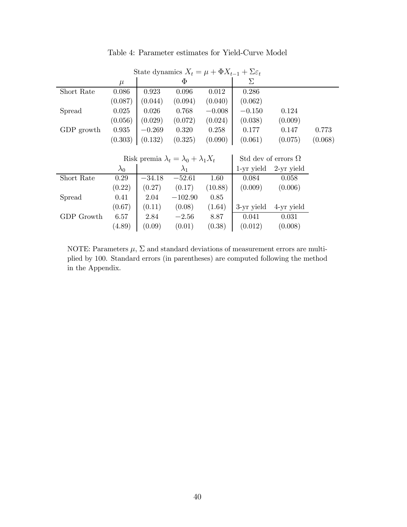|            | State dynamics $X_t = \mu + \Phi X_{t-1} + \Sigma \varepsilon_t$ |          |                                                     |          |               |                            |         |  |  |  |  |
|------------|------------------------------------------------------------------|----------|-----------------------------------------------------|----------|---------------|----------------------------|---------|--|--|--|--|
|            | $\mu$                                                            |          | Φ                                                   |          | Σ             |                            |         |  |  |  |  |
| Short Rate | 0.086                                                            | 0.923    | 0.096                                               | 0.012    | 0.286         |                            |         |  |  |  |  |
|            | (0.087)                                                          | (0.044)  | (0.094)                                             | (0.040)  | (0.062)       |                            |         |  |  |  |  |
| Spread     | 0.025                                                            | 0.026    | 0.768                                               | $-0.008$ | $-0.150$      | 0.124                      |         |  |  |  |  |
|            | (0.056)                                                          | (0.029)  | (0.072)                                             | (0.024)  | (0.038)       | (0.009)                    |         |  |  |  |  |
| GDP growth | 0.935                                                            | $-0.269$ | 0.320                                               | 0.258    | 0.177         | 0.147                      | 0.773   |  |  |  |  |
|            | (0.303)                                                          | (0.132)  | (0.325)                                             | (0.090)  | (0.061)       | (0.075)                    | (0.068) |  |  |  |  |
|            |                                                                  |          |                                                     |          |               |                            |         |  |  |  |  |
|            |                                                                  |          | Risk premia $\lambda_t = \lambda_0 + \lambda_1 X_t$ |          |               | Std dev of errors $\Omega$ |         |  |  |  |  |
|            | $\lambda_0$                                                      |          | $\lambda_1$                                         |          | $1$ -yr yield | $2$ -yr yield              |         |  |  |  |  |
| Short Rate | 0.29                                                             | $-34.18$ | $-52.61$                                            | 1.60     | 0.084         | 0.058                      |         |  |  |  |  |
|            | (0.22)                                                           | (0.27)   | (0.17)                                              | (10.88)  | (0.009)       | (0.006)                    |         |  |  |  |  |
| Spread     | 0.41                                                             | 2.04     | $-102.90$                                           | 0.85     |               |                            |         |  |  |  |  |
|            | (0.67)                                                           | (0.11)   | (0.08)                                              | (1.64)   | 3-yr yield    | 4-yr yield                 |         |  |  |  |  |
| GDP Growth | 6.57                                                             | 2.84     | $-2.56$                                             | 8.87     | 0.041         | 0.031                      |         |  |  |  |  |
|            | (4.89)                                                           | (0.09)   | (0.01)                                              | (0.38)   | (0.012)       | (0.008)                    |         |  |  |  |  |

Table 4: Parameter estimates for Yield-Curve Model

NOTE: Parameters  $\mu$ ,  $\Sigma$  and standard deviations of measurement errors are multiplied by 100. Standard errors (in parentheses) are computed following the method in the Appendix.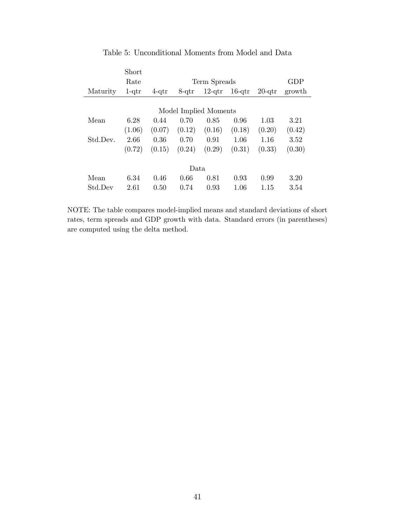| Short   |          |           |           |          |                                       |        |  |  |  |
|---------|----------|-----------|-----------|----------|---------------------------------------|--------|--|--|--|
| Rate    |          |           |           |          |                                       | GDP    |  |  |  |
| $1-qtr$ | $4$ -qtr | $8 - qtr$ | $12$ -qtr | $16-qtr$ | $20$ -qtr                             | growth |  |  |  |
|         |          |           |           |          |                                       |        |  |  |  |
|         |          |           |           |          |                                       |        |  |  |  |
| 6.28    | 0.44     | 0.70      | 0.85      | 0.96     | 1.03                                  | 3.21   |  |  |  |
| (1.06)  | (0.07)   | (0.12)    | (0.16)    | (0.18)   | (0.20)                                | (0.42) |  |  |  |
| 2.66    | 0.36     | 0.70      | 0.91      | 1.06     | 1.16                                  | 3.52   |  |  |  |
| (0.72)  | (0.15)   | (0.24)    | (0.29)    | (0.31)   | (0.33)                                | (0.30) |  |  |  |
|         |          |           |           |          |                                       |        |  |  |  |
| Data    |          |           |           |          |                                       |        |  |  |  |
| 6.34    | 0.46     | 0.66      | 0.81      | 0.93     | 0.99                                  | 3.20   |  |  |  |
| 2.61    | 0.50     | 0.74      | 0.93      | 1.06     | 1.15                                  | 3.54   |  |  |  |
|         |          |           |           |          | Term Spreads<br>Model Implied Moments |        |  |  |  |

Table 5: Unconditional Moments from Model and Data

NOTE: The table compares model-implied means and standard deviations of short rates, term spreads and GDP growth with data. Standard errors (in parentheses) are computed using the delta method.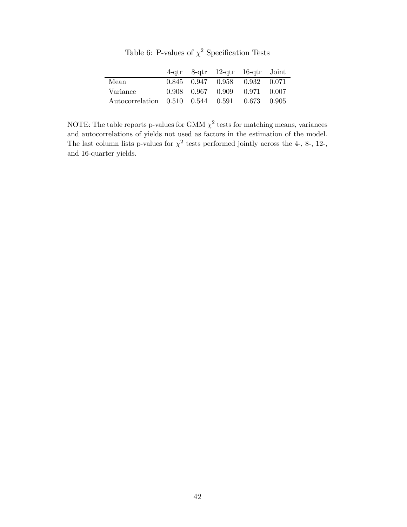|                                               |  | $4-qtr$ $8-qtr$ $12-qtr$ $16-qtr$ Joint |  |
|-----------------------------------------------|--|-----------------------------------------|--|
| Mean                                          |  | 0.845 0.947 0.958 0.932 0.071           |  |
| Variance                                      |  | 0.908 0.967 0.909 0.971 0.007           |  |
| Autocorrelation 0.510 0.544 0.591 0.673 0.905 |  |                                         |  |

Table 6: P-values of  $\chi^2$  Specification Tests

NOTE: The table reports p-values for GMM  $\chi^2$  tests for matching means, variances and autocorrelations of yields not used as factors in the estimation of the model. The last column lists p-values for  $\chi^2$  tests performed jointly across the 4-, 8-, 12-, and 16-quarter yields.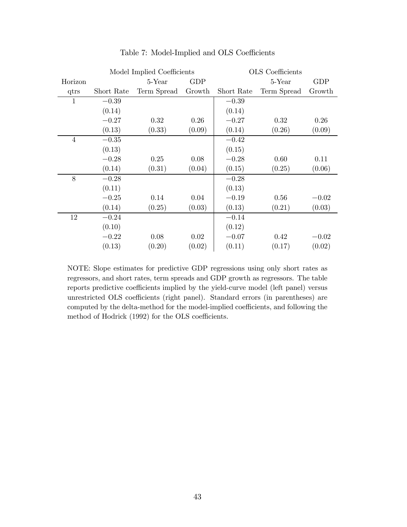|                |            | Model Implied Coefficients |        | <b>OLS</b> Coefficients |             |            |  |  |
|----------------|------------|----------------------------|--------|-------------------------|-------------|------------|--|--|
| Horizon        |            | 5-Year                     | GDP    |                         | 5-Year      | <b>GDP</b> |  |  |
| $q$ trs        | Short Rate | Term Spread                | Growth | Short Rate              | Term Spread | Growth     |  |  |
| 1              | $-0.39$    |                            |        | $-0.39$                 |             |            |  |  |
|                | (0.14)     |                            |        | (0.14)                  |             |            |  |  |
|                | $-0.27$    | 0.32                       | 0.26   | $-0.27$                 | 0.32        | 0.26       |  |  |
|                | (0.13)     | (0.33)                     | (0.09) | (0.14)                  | (0.26)      | (0.09)     |  |  |
| $\overline{4}$ | $-0.35$    |                            |        | $-0.42$                 |             |            |  |  |
|                | (0.13)     |                            |        | (0.15)                  |             |            |  |  |
|                | $-0.28$    | 0.25                       | 0.08   | $-0.28$                 | 0.60        | 0.11       |  |  |
|                | (0.14)     | (0.31)                     | (0.04) | (0.15)                  | (0.25)      | (0.06)     |  |  |
| 8              | $-0.28$    |                            |        | $-0.28$                 |             |            |  |  |
|                | (0.11)     |                            |        | (0.13)                  |             |            |  |  |
|                | $-0.25$    | 0.14                       | 0.04   | $-0.19$                 | 0.56        | $-0.02$    |  |  |
|                | (0.14)     | (0.25)                     | (0.03) | (0.13)                  | (0.21)      | (0.03)     |  |  |
| 12             | $-0.24$    |                            |        | $-0.14$                 |             |            |  |  |
|                | (0.10)     |                            |        | (0.12)                  |             |            |  |  |
|                | $-0.22$    | 0.08                       | 0.02   | $-0.07$                 | 0.42        | $-0.02$    |  |  |
|                | (0.13)     | (0.20)                     | (0.02) | (0.11)                  | (0.17)      | (0.02)     |  |  |

Table 7: Model-Implied and OLS Coefficients

NOTE: Slope estimates for predictive GDP regressions using only short rates as regressors, and short rates, term spreads and GDP growth as regressors. The table reports predictive coefficients implied by the yield-curve model (left panel) versus unrestricted OLS coefficients (right panel). Standard errors (in parentheses) are computed by the delta-method for the model-implied coefficients, and following the method of Hodrick (1992) for the OLS coefficients.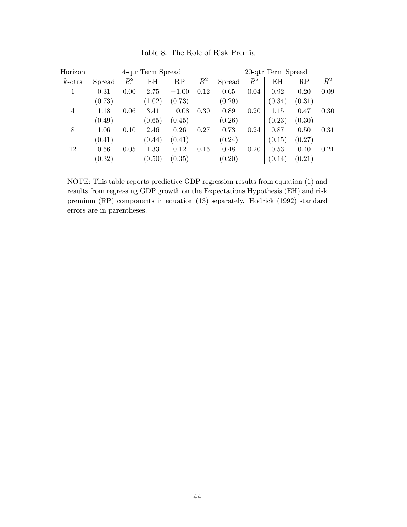| Horizon        | 4-qtr Term Spread |       |        |         |         | 20-qtr Term Spread |       |        |        |       |
|----------------|-------------------|-------|--------|---------|---------|--------------------|-------|--------|--------|-------|
| $k$ -qtrs      | Spread            | $R^2$ | EH     | RP      | $\,R^2$ | Spread             | $R^2$ | EH     | RP     | $R^2$ |
| 1              | 0.31              | 0.00  | 2.75   | $-1.00$ | 0.12    | 0.65               | 0.04  | 0.92   | 0.20   | 0.09  |
|                | (0.73)            |       | (1.02) | (0.73)  |         | (0.29)             |       | (0.34) | (0.31) |       |
| $\overline{4}$ | 1.18              | 0.06  | 3.41   | $-0.08$ | 0.30    | 0.89               | 0.20  | 1.15   | 0.47   | 0.30  |
|                | (0.49)            |       | (0.65) | (0.45)  |         | (0.26)             |       | (0.23) | (0.30) |       |
| 8              | 1.06              | 0.10  | 2.46   | 0.26    | 0.27    | 0.73               | 0.24  | 0.87   | 0.50   | 0.31  |
|                | (0.41)            |       | (0.44) | (0.41)  |         | (0.24)             |       | (0.15) | (0.27) |       |
| 12             | 0.56              | 0.05  | 1.33   | 0.12    | 0.15    | 0.48               | 0.20  | 0.53   | 0.40   | 0.21  |
|                | (0.32)            |       | (0.50) | (0.35)  |         | (0.20)             |       | (0.14) | (0.21) |       |

Table 8: The Role of Risk Premia

NOTE: This table reports predictive GDP regression results from equation (1) and results from regressing GDP growth on the Expectations Hypothesis (EH) and risk premium (RP) components in equation (13) separately. Hodrick (1992) standard errors are in parentheses.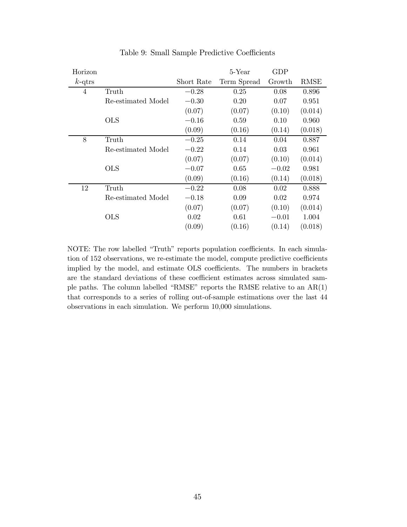| Horizon   |                    |            | 5-Year      | <b>GDP</b> |             |
|-----------|--------------------|------------|-------------|------------|-------------|
| $k$ -qtrs |                    | Short Rate | Term Spread | Growth     | <b>RMSE</b> |
| 4         | Truth              | $-0.28$    | 0.25        | 0.08       | 0.896       |
|           | Re-estimated Model | $-0.30$    | 0.20        | 0.07       | 0.951       |
|           |                    | (0.07)     | (0.07)      | (0.10)     | (0.014)     |
|           | <b>OLS</b>         | $-0.16$    | 0.59        | 0.10       | 0.960       |
|           |                    | (0.09)     | (0.16)      | (0.14)     | (0.018)     |
| 8         | Truth              | $-0.25$    | 0.14        | 0.04       | 0.887       |
|           | Re-estimated Model | $-0.22$    | 0.14        | 0.03       | 0.961       |
|           |                    | (0.07)     | (0.07)      | (0.10)     | (0.014)     |
|           | <b>OLS</b>         | $-0.07$    | 0.65        | $-0.02$    | 0.981       |
|           |                    | (0.09)     | (0.16)      | (0.14)     | (0.018)     |
| 12        | Truth              | $-0.22$    | 0.08        | 0.02       | 0.888       |
|           | Re-estimated Model | $-0.18$    | 0.09        | 0.02       | 0.974       |
|           |                    | (0.07)     | (0.07)      | (0.10)     | (0.014)     |
|           | <b>OLS</b>         | 0.02       | 0.61        | $-0.01$    | 1.004       |
|           |                    | (0.09)     | (0.16)      | (0.14)     | (0.018)     |

Table 9: Small Sample Predictive Coefficients

NOTE: The row labelled "Truth" reports population coefficients. In each simulation of 152 observations, we re-estimate the model, compute predictive coefficients implied by the model, and estimate OLS coefficients. The numbers in brackets are the standard deviations of these coefficient estimates across simulated sample paths. The column labelled "RMSE" reports the RMSE relative to an AR(1) that corresponds to a series of rolling out-of-sample estimations over the last 44 observations in each simulation. We perform 10,000 simulations.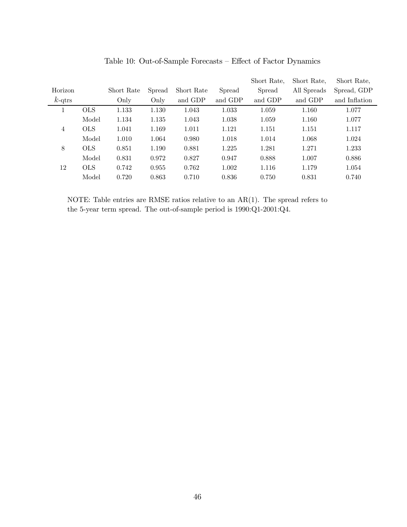|           |            |            |        |            |         | Short Rate, | Short Rate, | Short Rate.   |
|-----------|------------|------------|--------|------------|---------|-------------|-------------|---------------|
| Horizon   |            | Short Rate | Spread | Short Rate | Spread  | Spread      | All Spreads | Spread, GDP   |
| $k$ -qtrs |            | Only       | Only   | and GDP    | and GDP | and GDP     | and GDP     | and Inflation |
| 1         | <b>OLS</b> | 1.133      | 1.130  | 1.043      | 1.033   | 1.059       | 1.160       | 1.077         |
|           | Model      | 1.134      | 1.135  | 1.043      | 1.038   | 1.059       | 1.160       | 1.077         |
| 4         | <b>OLS</b> | 1.041      | 1.169  | 1.011      | 1.121   | 1.151       | 1.151       | 1.117         |
|           | Model      | 1.010      | 1.064  | 0.980      | 1.018   | 1.014       | 1.068       | 1.024         |
| 8         | <b>OLS</b> | 0.851      | 1.190  | 0.881      | 1.225   | 1.281       | 1.271       | 1.233         |
|           | Model      | 0.831      | 0.972  | 0.827      | 0.947   | 0.888       | 1.007       | 0.886         |
| 12        | <b>OLS</b> | 0.742      | 0.955  | 0.762      | 1.002   | 1.116       | 1.179       | 1.054         |
|           | Model      | 0.720      | 0.863  | 0.710      | 0.836   | 0.750       | 0.831       | 0.740         |

### Table 10: Out-of-Sample Forecasts — Effect of Factor Dynamics

NOTE: Table entries are RMSE ratios relative to an AR(1). The spread refers to the 5-year term spread. The out-of-sample period is 1990:Q1-2001:Q4.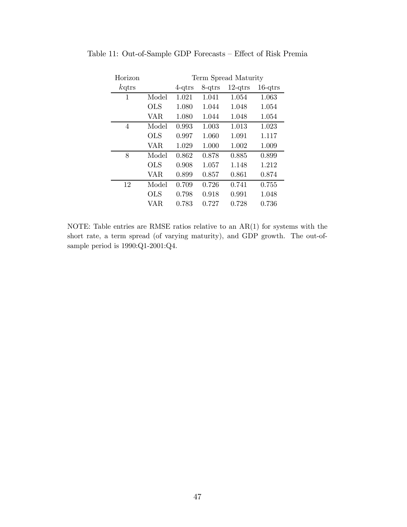| Horizon  | Term Spread Maturity |           |            |            |             |  |  |  |  |  |
|----------|----------------------|-----------|------------|------------|-------------|--|--|--|--|--|
| $kq$ trs |                      | $4$ -qtrs | $8 - qtrs$ | $12$ -qtrs | $16 - qtrs$ |  |  |  |  |  |
| 1        | Model                | 1.021     | 1.041      | 1.054      | 1.063       |  |  |  |  |  |
|          | <b>OLS</b>           | 1.080     | 1.044      | 1.048      | 1.054       |  |  |  |  |  |
|          | VAR.                 | 1.080     | 1.044      | 1.048      | 1.054       |  |  |  |  |  |
| 4        | Model                | 0.993     | 1.003      | 1.013      | 1.023       |  |  |  |  |  |
|          | <b>OLS</b>           | 0.997     | 1.060      | 1.091      | 1.117       |  |  |  |  |  |
|          | <b>VAR</b>           | 1.029     | 1.000      | 1.002      | 1.009       |  |  |  |  |  |
| 8        | Model                | 0.862     | 0.878      | 0.885      | 0.899       |  |  |  |  |  |
|          | <b>OLS</b>           | 0.908     | 1.057      | 1.148      | 1.212       |  |  |  |  |  |
|          | VAR                  | 0.899     | 0.857      | 0.861      | 0.874       |  |  |  |  |  |
| 12       | Model                | 0.709     | 0.726      | 0.741      | 0.755       |  |  |  |  |  |
|          | <b>OLS</b>           | 0.798     | 0.918      | 0.991      | 1.048       |  |  |  |  |  |
|          | VAR                  | 0.783     | 0.727      | 0.728      | 0.736       |  |  |  |  |  |

Table 11: Out-of-Sample GDP Forecasts — Effect of Risk Premia

NOTE: Table entries are RMSE ratios relative to an AR(1) for systems with the short rate, a term spread (of varying maturity), and GDP growth. The out-ofsample period is 1990:Q1-2001:Q4.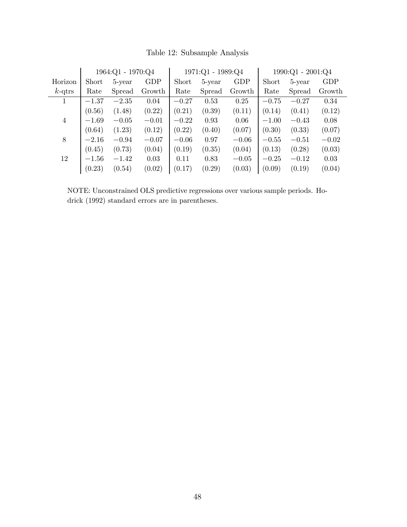|                | $1964:Q1 - 1970:Q4$ |         |            |              | $1971:Q1 - 1989:Q4$ |            | $1990:Q1 - 2001:Q4$ |         |         |
|----------------|---------------------|---------|------------|--------------|---------------------|------------|---------------------|---------|---------|
| Horizon        | Short               | 5-year  | <b>GDP</b> | <b>Short</b> | 5-year              | <b>GDP</b> | Short               | 5-year  | GDP     |
| $k$ -qtrs      | Rate                | Spread  | Growth     | Rate         | Spread              | Growth     | Rate                | Spread  | Growth  |
|                | $-1.37$             | $-2.35$ | 0.04       | $-0.27$      | 0.53                | 0.25       | $-0.75$             | $-0.27$ | 0.34    |
|                | (0.56)              | (1.48)  | (0.22)     | (0.21)       | (0.39)              | (0.11)     | (0.14)              | (0.41)  | (0.12)  |
| $\overline{4}$ | $-1.69$             | $-0.05$ | $-0.01$    | $-0.22$      | 0.93                | 0.06       | $-1.00$             | $-0.43$ | 0.08    |
|                | (0.64)              | (1.23)  | (0.12)     | (0.22)       | (0.40)              | (0.07)     | (0.30)              | (0.33)  | (0.07)  |
| 8              | $-2.16$             | $-0.94$ | $-0.07$    | $-0.06$      | 0.97                | $-0.06$    | $-0.55$             | $-0.51$ | $-0.02$ |
|                | (0.45)              | (0.73)  | (0.04)     | (0.19)       | (0.35)              | (0.04)     | (0.13)              | (0.28)  | (0.03)  |
| 12             | $-1.56$             | $-1.42$ | 0.03       | 0.11         | 0.83                | $-0.05$    | $-0.25$             | $-0.12$ | 0.03    |
|                | (0.23)              | (0.54)  | (0.02)     | (0.17)       | (0.29)              | (0.03)     | (0.09)              | (0.19)  | (0.04)  |

Table 12: Subsample Analysis

NOTE: Unconstrained OLS predictive regressions over various sample periods. Hodrick (1992) standard errors are in parentheses.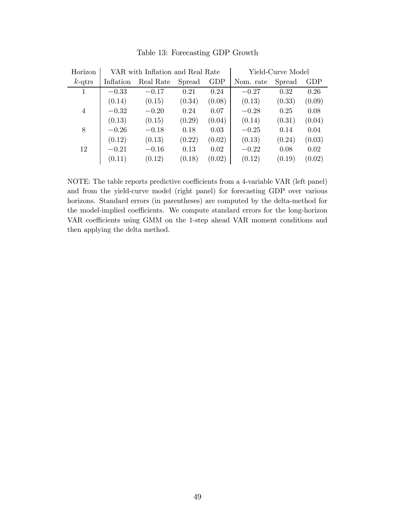| Horizon        | VAR with Inflation and Real Rate |           |        |            | Yield-Curve Model |        |        |
|----------------|----------------------------------|-----------|--------|------------|-------------------|--------|--------|
| $k$ -qtrs      | Inflation                        | Real Rate | Spread | <b>GDP</b> | Nom. rate         | Spread | GDP    |
| 1              | $-0.33$                          | $-0.17$   | 0.21   | 0.24       | $-0.27$           | 0.32   | 0.26   |
|                | (0.14)                           | (0.15)    | (0.34) | (0.08)     | (0.13)            | (0.33) | (0.09) |
| $\overline{4}$ | $-0.32$                          | $-0.20$   | 0.24   | 0.07       | $-0.28$           | 0.25   | 0.08   |
|                | (0.13)                           | (0.15)    | (0.29) | (0.04)     | (0.14)            | (0.31) | (0.04) |
| 8              | $-0.26$                          | $-0.18$   | 0.18   | 0.03       | $-0.25$           | 0.14   | 0.04   |
|                | (0.12)                           | (0.13)    | (0.22) | (0.02)     | (0.13)            | (0.24) | (0.03) |
| 12             | $-0.21$                          | $-0.16$   | 0.13   | 0.02       | $-0.22$           | 0.08   | 0.02   |
|                | (0.11)                           | (0.12)    | (0.18) | (0.02)     | (0.12)            | (0.19) | (0.02) |

Table 13: Forecasting GDP Growth

NOTE: The table reports predictive coefficients from a 4-variable VAR (left panel) and from the yield-curve model (right panel) for forecasting GDP over various horizons. Standard errors (in parentheses) are computed by the delta-method for the model-implied coefficients. We compute standard errors for the long-horizon VAR coefficients using GMM on the 1-step ahead VAR moment conditions and then applying the delta method.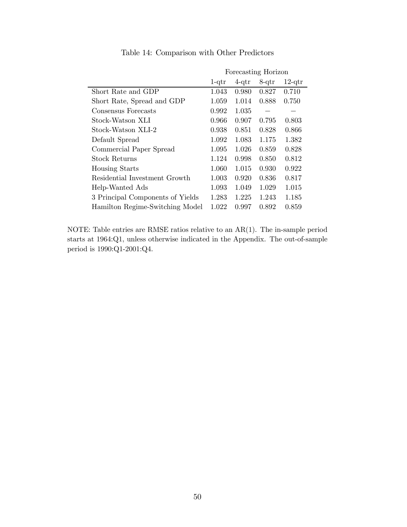|                                  | Forecasting Horizon |          |           |          |
|----------------------------------|---------------------|----------|-----------|----------|
|                                  | $1-qtr$             | $4$ -qtr | $8 - qtr$ | $12-qtr$ |
| Short Rate and GDP               | 1.043               | 0.980    | 0.827     | 0.710    |
| Short Rate, Spread and GDP       | 1.059               | 1.014    | 0.888     | 0.750    |
| Consensus Forecasts              | 0.992               | 1.035    |           |          |
| Stock-Watson XLI                 | 0.966               | 0.907    | 0.795     | 0.803    |
| Stock-Watson XLI-2               | 0.938               | 0.851    | 0.828     | 0.866    |
| Default Spread                   | 1.092               | 1.083    | 1.175     | 1.382    |
| Commercial Paper Spread          | 1.095               | 1.026    | 0.859     | 0.828    |
| <b>Stock Returns</b>             | 1.124               | 0.998    | 0.850     | 0.812    |
| <b>Housing Starts</b>            | 1.060               | 1.015    | 0.930     | 0.922    |
| Residential Investment Growth    | 1.003               | 0.920    | 0.836     | 0.817    |
| Help-Wanted Ads                  | 1.093               | 1.049    | 1.029     | 1.015    |
| 3 Principal Components of Yields | 1.283               | 1.225    | 1.243     | 1.185    |
| Hamilton Regime-Switching Model  | 1.022               | 0.997    | 0.892     | 0.859    |

Table 14: Comparison with Other Predictors

NOTE: Table entries are RMSE ratios relative to an AR(1). The in-sample period starts at 1964:Q1, unless otherwise indicated in the Appendix. The out-of-sample period is 1990:Q1-2001:Q4.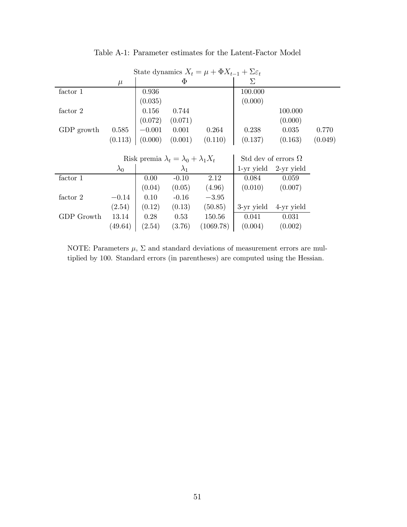| State dynamics $X_t = \mu + \Phi X_{t-1} + \Sigma \varepsilon_t$ |             |                                                     |             |         |                            |            |         |  |
|------------------------------------------------------------------|-------------|-----------------------------------------------------|-------------|---------|----------------------------|------------|---------|--|
|                                                                  | $\mu$       |                                                     | Φ           |         | Σ                          |            |         |  |
| factor 1                                                         |             | 0.936                                               |             |         | 100.000                    |            |         |  |
|                                                                  |             | (0.035)                                             |             |         | (0.000)                    |            |         |  |
| factor 2                                                         |             | 0.156                                               | 0.744       |         |                            | 100.000    |         |  |
|                                                                  |             | (0.072)                                             | (0.071)     |         |                            | (0.000)    |         |  |
| GDP growth                                                       | 0.585       | $-0.001$                                            | 0.001       | 0.264   | 0.238                      | 0.035      | 0.770   |  |
|                                                                  | (0.113)     | (0.000)                                             | (0.001)     | (0.110) | (0.137)                    | (0.163)    | (0.049) |  |
|                                                                  |             |                                                     |             |         |                            |            |         |  |
|                                                                  |             | Risk premia $\lambda_t = \lambda_0 + \lambda_1 X_t$ |             |         | Std dev of errors $\Omega$ |            |         |  |
|                                                                  | $\lambda_0$ |                                                     | $\lambda_1$ |         | $1$ -yr yield              | 2-yr yield |         |  |
| factor 1                                                         |             | 0.00                                                | $-0.10$     | 2.12    | 0.084                      | 0.059      |         |  |
|                                                                  |             | (0.04)                                              | (0.05)      | (4.96)  | (0.010)                    | (0.007)    |         |  |
| factor 2                                                         | $-0.14$     | 0.10                                                | $-0.16$     | $-3.95$ |                            |            |         |  |
|                                                                  | (2.54)      | (0.12)                                              | (0.13)      | (50.85) | 3-yr yield                 | 4-yr yield |         |  |
| GDP Growth                                                       |             |                                                     |             |         | 0.041                      | 0.031      |         |  |
|                                                                  | 13.14       | 0.28                                                | 0.53        | 150.56  |                            |            |         |  |

Table A-1: Parameter estimates for the Latent-Factor Model

NOTE: Parameters  $\mu$ ,  $\Sigma$  and standard deviations of measurement errors are multiplied by 100. Standard errors (in parentheses) are computed using the Hessian.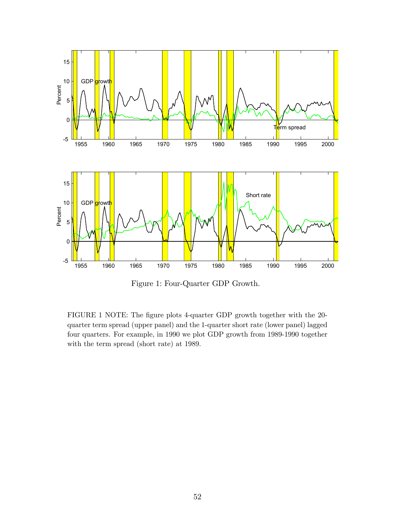

Figure 1: Four-Quarter GDP Growth.

FIGURE 1 NOTE: The figure plots 4-quarter GDP growth together with the 20 quarter term spread (upper panel) and the 1-quarter short rate (lower panel) lagged four quarters. For example, in 1990 we plot GDP growth from 1989-1990 together with the term spread (short rate) at 1989.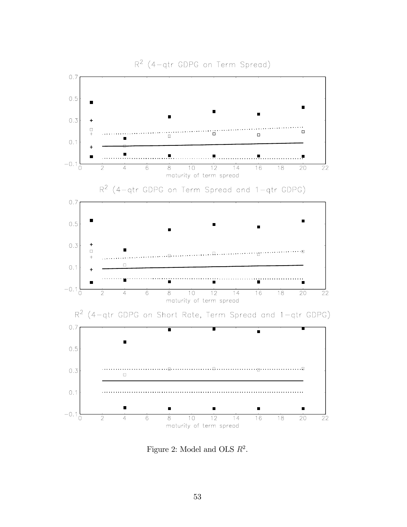

Figure 2: Model and OLS  $R^2$ .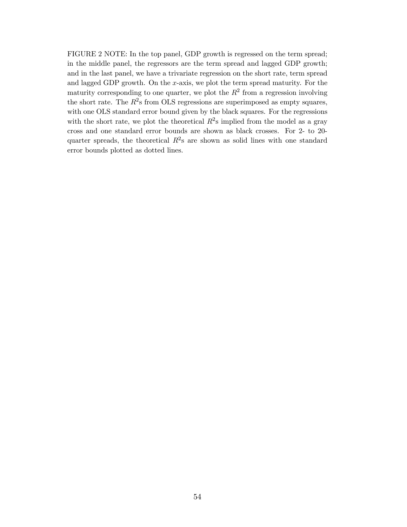FIGURE 2 NOTE: In the top panel, GDP growth is regressed on the term spread; in the middle panel, the regressors are the term spread and lagged GDP growth; and in the last panel, we have a trivariate regression on the short rate, term spread and lagged GDP growth. On the  $x$ -axis, we plot the term spread maturity. For the maturity corresponding to one quarter, we plot the  $R^2$  from a regression involving the short rate. The  $R^2$ s from OLS regressions are superimposed as empty squares, with one OLS standard error bound given by the black squares. For the regressions with the short rate, we plot the theoretical  $R^2$ s implied from the model as a gray cross and one standard error bounds are shown as black crosses. For 2- to 20 quarter spreads, the theoretical  $R^2$ s are shown as solid lines with one standard error bounds plotted as dotted lines.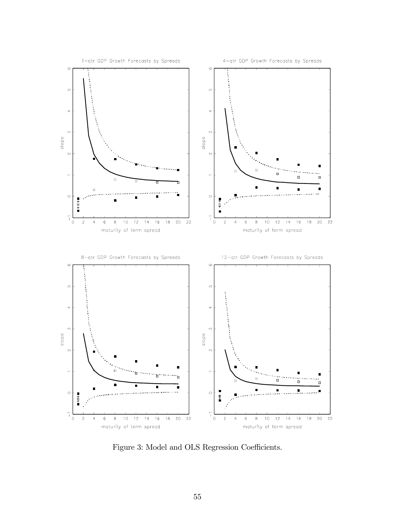

Figure 3: Model and OLS Regression Coefficients.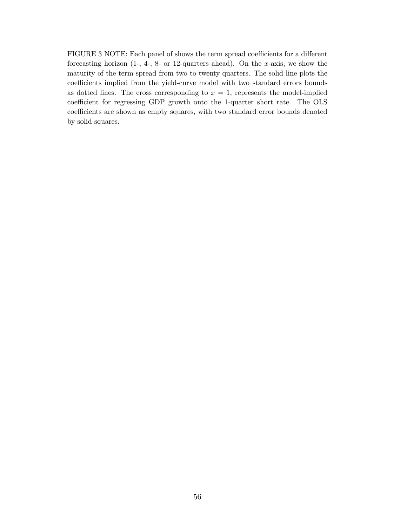FIGURE 3 NOTE: Each panel of shows the term spread coefficients for a different forecasting horizon  $(1-, 4-, 8-$  or 12-quarters ahead). On the x-axis, we show the maturity of the term spread from two to twenty quarters. The solid line plots the coefficients implied from the yield-curve model with two standard errors bounds as dotted lines. The cross corresponding to  $x = 1$ , represents the model-implied coefficient for regressing GDP growth onto the 1-quarter short rate. The OLS coefficients are shown as empty squares, with two standard error bounds denoted by solid squares.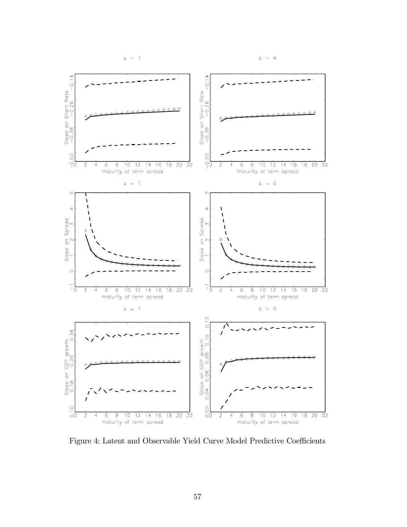

Figure 4: Latent and Observable Yield Curve Model Predictive Coefficients